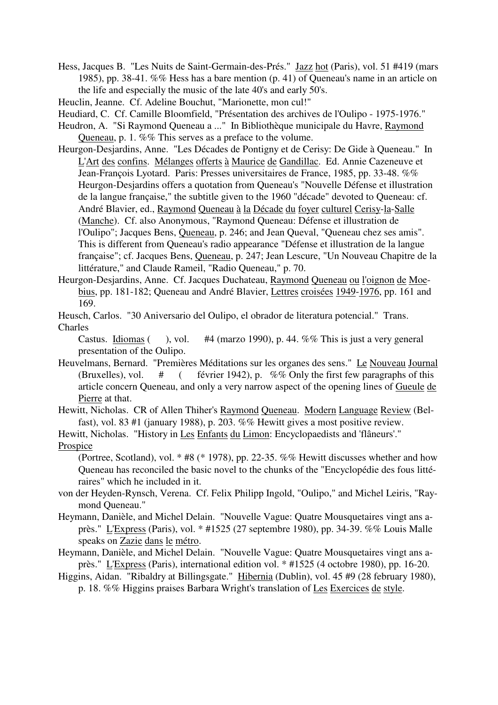- Hess, Jacques B. "Les Nuits de Saint-Germain-des-Prés." Jazz hot (Paris), vol. 51 #419 (mars 1985), pp. 38-41. %% Hess has a bare mention (p. 41) of Queneau's name in an article on the life and especially the music of the late 40's and early 50's.
- Heuclin, Jeanne. Cf. Adeline Bouchut, "Marionette, mon cul!"

Heudiard, C. Cf. Camille Bloomfield, "Présentation des archives de l'Oulipo - 1975-1976."

- Heudron, A. "Si Raymond Queneau a ..." In Bibliothèque municipale du Havre, Raymond Queneau, p. 1. %% This serves as a preface to the volume.
- Heurgon-Desjardins, Anne. "Les Décades de Pontigny et de Cerisy: De Gide à Queneau." In L'Art des confins. Mélanges offerts à Maurice de Gandillac. Ed. Annie Cazeneuve et Jean-François Lyotard. Paris: Presses universitaires de France, 1985, pp. 33-48. %% Heurgon-Desjardins offers a quotation from Queneau's "Nouvelle Défense et illustration de la langue française," the subtitle given to the 1960 "décade" devoted to Queneau: cf. André Blavier, ed., Raymond Queneau à la Décade du foyer culturel Cerisy-la-Salle (Manche). Cf. also Anonymous, "Raymond Queneau: Défense et illustration de l'Oulipo"; Jacques Bens, Queneau, p. 246; and Jean Queval, "Queneau chez ses amis". This is different from Queneau's radio appearance "Défense et illustration de la langue française"; cf. Jacques Bens, Queneau, p. 247; Jean Lescure, "Un Nouveau Chapitre de la littérature," and Claude Rameil, "Radio Queneau," p. 70.
- Heurgon-Desjardins, Anne. Cf. Jacques Duchateau, Raymond Queneau ou l'oignon de Moebius, pp. 181-182; Queneau and André Blavier, Lettres croisées 1949-1976, pp. 161 and 169.
- Heusch, Carlos. "30 Aniversario del Oulipo, el obrador de literatura potencial." Trans. Charles

Castus. Idiomas ( $\blacksquare$ ), vol. #4 (marzo 1990), p. 44. %% This is just a very general presentation of the Oulipo.

Heuvelmans, Bernard. "Premières Méditations sur les organes des sens." Le Nouveau Journal (Bruxelles), vol.  $\#$  ( février 1942), p. %% Only the first few paragraphs of this article concern Queneau, and only a very narrow aspect of the opening lines of Gueule de Pierre at that.

Hewitt, Nicholas. CR of Allen Thiher's Raymond Queneau. Modern Language Review (Belfast), vol. 83 #1 (january 1988), p. 203. %% Hewitt gives a most positive review.

Hewitt, Nicholas. "History in Les Enfants du Limon: Encyclopaedists and 'flâneurs'." Prospice

(Portree, Scotland), vol.  $*$  #8 ( $*$  1978), pp. 22-35. %% Hewitt discusses whether and how Queneau has reconciled the basic novel to the chunks of the "Encyclopédie des fous littéraires" which he included in it.

- von der Heyden-Rynsch, Verena. Cf. Felix Philipp Ingold, "Oulipo," and Michel Leiris, "Raymond Queneau."
- Heymann, Danièle, and Michel Delain. "Nouvelle Vague: Quatre Mousquetaires vingt ans après." L'Express (Paris), vol. \* #1525 (27 septembre 1980), pp. 34-39. %% Louis Malle speaks on Zazie dans le métro.
- Heymann, Danièle, and Michel Delain. "Nouvelle Vague: Quatre Mousquetaires vingt ans après." L'Express (Paris), international edition vol. \* #1525 (4 octobre 1980), pp. 16-20.
- Higgins, Aidan. "Ribaldry at Billingsgate." Hibernia (Dublin), vol. 45 #9 (28 february 1980), p. 18. %% Higgins praises Barbara Wright's translation of Les Exercices de style.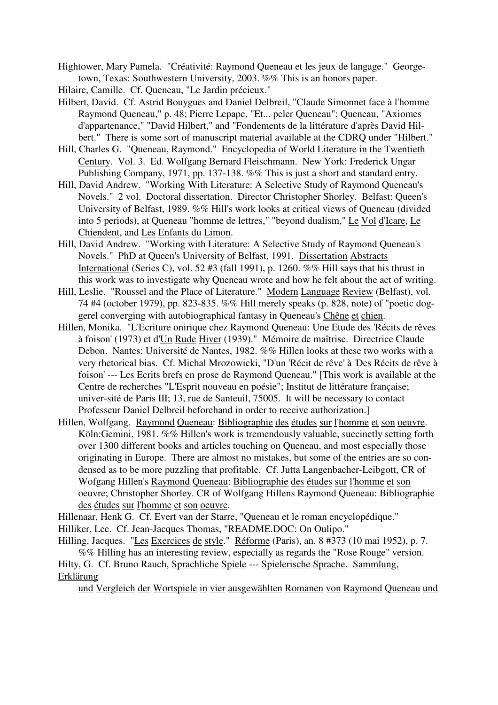- Hightower, Mary Pamela. "Créativité: Raymond Queneau et les jeux de langage." Georgetown, Texas: Southwestern University, 2003. %% This is an honors paper.
- Hilaire, Camille. Cf. Queneau, "Le Jardin précieux."
- Hilbert, David. Cf. Astrid Bouygues and Daniel Delbreil, "Claude Simonnet face à l'homme Raymond Queneau," p. 48; Pierre Lepape, "Et... peler Queneau"; Queneau, "Axiomes d'appartenance," "David Hilbert," and "Fondements de la littérature d'après David Hilbert." There is some sort of manuscript material available at the CDRQ under "Hilbert."
- Hill, Charles G. "Queneau, Raymond." Encyclopedia of World Literature in the Twentieth Century. Vol. 3. Ed. Wolfgang Bernard Fleischmann. New York: Frederick Ungar Publishing Company, 1971, pp. 137-138. %% This is just a short and standard entry.
- Hill, David Andrew. "Working With Literature: A Selective Study of Raymond Queneau's Novels." 2 vol. Doctoral dissertation. Director Christopher Shorley. Belfast: Queen's University of Belfast, 1989. %% Hill's work looks at critical views of Queneau (divided into 5 periods), at Queneau "homme de lettres," "beyond dualism," Le Vol d'Icare, Le Chiendent, and Les Enfants du Limon.
- Hill, David Andrew. "Working with Literature: A Selective Study of Raymond Queneau's Novels." PhD at Queen's University of Belfast, 1991. Dissertation Abstracts International (Series C), vol. 52 #3 (fall 1991), p. 1260. %% Hill says that his thrust in this work was to investigate why Queneau wrote and how he felt about the act of writing.
- Hill, Leslie. "Roussel and the Place of Literature." Modern Language Review (Belfast), vol. 74 #4 (october 1979), pp. 823-835. %% Hill merely speaks (p. 828, note) of "poetic doggerel converging with autobiographical fantasy in Queneau's Chêne et chien.
- Hillen, Monika. "L'Ecriture onirique chez Raymond Queneau: Une Etude des 'Récits de rêves à foison' (1973) et d'Un Rude Hiver (1939)." Mémoire de maîtrise. Directrice Claude Debon. Nantes: Université de Nantes, 1982. %% Hillen looks at these two works with a very rhetorical bias. Cf. Michal Mrozowicki, "D'un 'Récit de rêve' à 'Des Récits de rêve à foison' --- Les Ecrits brefs en prose de Raymond Queneau." [This work is available at the Centre de recherches "L'Esprit nouveau en poésie"; Institut de littérature française; univer-sité de Paris III; 13, rue de Santeuil, 75005. It will be necessary to contact Professeur Daniel Delbreil beforehand in order to receive authorization.]
- Hillen, Wolfgang. Raymond Queneau: Bibliographie des études sur l'homme et son oeuvre. Köln:Gemini, 1981. %% Hillen's work is tremendously valuable, succinctly setting forth over 1300 different books and articles touching on Queneau, and most especially those originating in Europe. There are almost no mistakes, but some of the entries are so condensed as to be more puzzling that profitable. Cf. Jutta Langenbacher-Leibgott, CR of Wofgang Hillen's Raymond Queneau: Bibliographie des études sur l'homme et son oeuvre; Christopher Shorley. CR of Wolfgang Hillens Raymond Queneau: Bibliographie des études sur l'homme et son oeuvre.

Hillenaar, Henk G. Cf. Evert van der Starre, "Queneau et le roman encyclopédique."

- Hilliker, Lee. Cf. Jean-Jacques Thomas, "README.DOC: On Oulipo."
- Hilling, Jacques. "Les Exercices de style." Réforme (Paris), an. 8 #373 (10 mai 1952), p. 7. %% Hilling has an interesting review, especially as regards the "Rose Rouge" version. Hilty, G. Cf. Bruno Rauch, Sprachliche Spiele --- Spielerische Sprache. Sammlung,

Erklärung

und Vergleich der Wortspiele in vier ausgewählten Romanen von Raymond Queneau und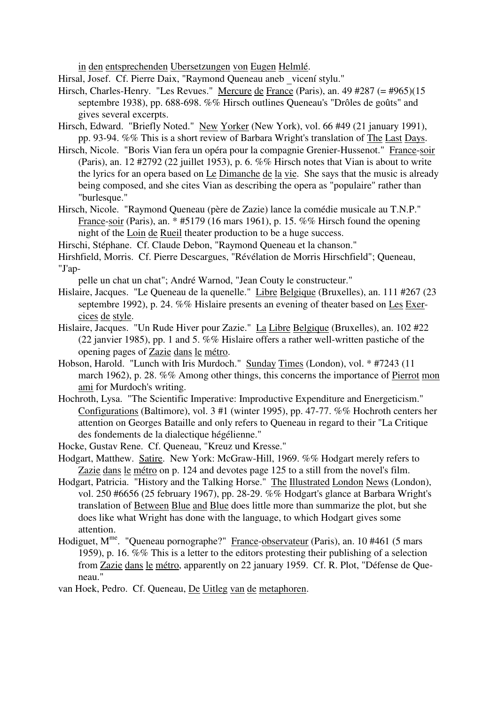in den entsprechenden Ubersetzungen von Eugen Helmlé.

Hirsal, Josef. Cf. Pierre Daix, "Raymond Queneau aneb \_vicení stylu."

- Hirsch, Charles-Henry. "Les Revues." Mercure de France (Paris), an. 49 #287 (= #965)(15 septembre 1938), pp. 688-698. %% Hirsch outlines Queneau's "Drôles de goûts" and gives several excerpts.
- Hirsch, Edward. "Briefly Noted." New Yorker (New York), vol. 66 #49 (21 january 1991), pp. 93-94. %% This is a short review of Barbara Wright's translation of The Last Days.
- Hirsch, Nicole. "Boris Vian fera un opéra pour la compagnie Grenier-Hussenot." France-soir (Paris), an. 12 #2792 (22 juillet 1953), p. 6. %% Hirsch notes that Vian is about to write the lyrics for an opera based on Le Dimanche de la vie. She says that the music is already being composed, and she cites Vian as describing the opera as "populaire" rather than "burlesque."
- Hirsch, Nicole. "Raymond Queneau (père de Zazie) lance la comédie musicale au T.N.P." France-soir (Paris), an. \* #5179 (16 mars 1961), p. 15. %% Hirsch found the opening night of the Loin de Rueil theater production to be a huge success.

Hirschi, Stéphane. Cf. Claude Debon, "Raymond Queneau et la chanson."

Hirshfield, Morris. Cf. Pierre Descargues, "Révélation de Morris Hirschfield"; Queneau, "J'ap-

pelle un chat un chat"; André Warnod, "Jean Couty le constructeur."

- Hislaire, Jacques. "Le Queneau de la quenelle." Libre Belgique (Bruxelles), an. 111 #267 (23 septembre 1992), p. 24. %% Hislaire presents an evening of theater based on Les Exercices de style.
- Hislaire, Jacques. "Un Rude Hiver pour Zazie." La Libre Belgique (Bruxelles), an. 102 #22 (22 janvier 1985), pp. 1 and 5. %% Hislaire offers a rather well-written pastiche of the opening pages of Zazie dans le métro.
- Hobson, Harold. "Lunch with Iris Murdoch." Sunday Times (London), vol. \* #7243 (11 march 1962), p. 28. %% Among other things, this concerns the importance of Pierrot mon ami for Murdoch's writing.
- Hochroth, Lysa. "The Scientific Imperative: Improductive Expenditure and Energeticism." Configurations (Baltimore), vol. 3 #1 (winter 1995), pp. 47-77. %% Hochroth centers her attention on Georges Bataille and only refers to Queneau in regard to their "La Critique des fondements de la dialectique hégélienne."
- Hocke, Gustav Rene. Cf. Queneau, "Kreuz und Kresse."

Hodgart, Matthew. Satire. New York: McGraw-Hill, 1969. %% Hodgart merely refers to Zazie dans le métro on p. 124 and devotes page 125 to a still from the novel's film.

- Hodgart, Patricia. "History and the Talking Horse." The Illustrated London News (London), vol. 250 #6656 (25 february 1967), pp. 28-29. %% Hodgart's glance at Barbara Wright's translation of Between Blue and Blue does little more than summarize the plot, but she does like what Wright has done with the language, to which Hodgart gives some attention.
- Hodiguet, M<sup>me</sup>. "Queneau pornographe?" France-observateur (Paris), an. 10 #461 (5 mars 1959), p. 16. %% This is a letter to the editors protesting their publishing of a selection from Zazie dans le métro, apparently on 22 january 1959. Cf. R. Plot, "Défense de Queneau."

van Hoek, Pedro. Cf. Queneau, De Uitleg van de metaphoren.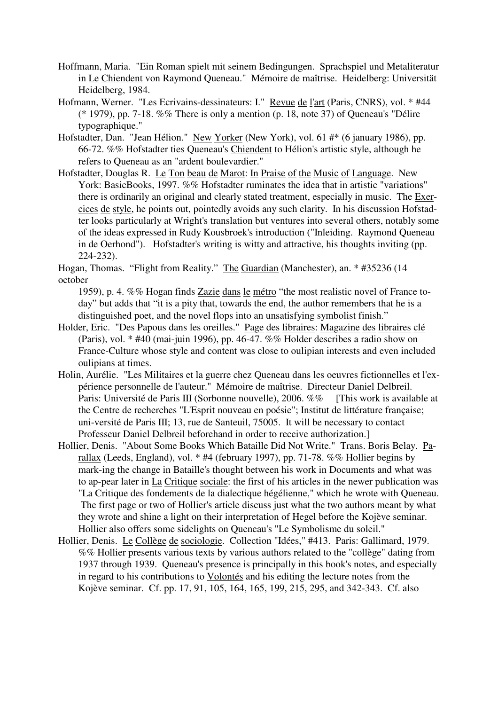- Hoffmann, Maria. "Ein Roman spielt mit seinem Bedingungen. Sprachspiel und Metaliteratur in Le Chiendent von Raymond Queneau." Mémoire de maîtrise. Heidelberg: Universität Heidelberg, 1984.
- Hofmann, Werner. "Les Ecrivains-dessinateurs: I." Revue de l'art (Paris, CNRS), vol. \* #44 (\* 1979), pp. 7-18. %% There is only a mention (p. 18, note 37) of Queneau's "Délire typographique."
- Hofstadter, Dan. "Jean Hélion." New Yorker (New York), vol. 61 #\* (6 january 1986), pp. 66-72. %% Hofstadter ties Queneau's Chiendent to Hélion's artistic style, although he refers to Queneau as an "ardent boulevardier."
- Hofstadter, Douglas R. Le Ton beau de Marot: In Praise of the Music of Language. New York: BasicBooks, 1997. %% Hofstadter ruminates the idea that in artistic "variations" there is ordinarily an original and clearly stated treatment, especially in music. The Exercices de style, he points out, pointedly avoids any such clarity. In his discussion Hofstadter looks particularly at Wright's translation but ventures into several others, notably some of the ideas expressed in Rudy Kousbroek's introduction ("Inleiding. Raymond Queneau in de Oerhond"). Hofstadter's writing is witty and attractive, his thoughts inviting (pp. 224-232).
- Hogan, Thomas. "Flight from Reality." The Guardian (Manchester), an. \* #35236 (14 october
	- 1959), p. 4. %% Hogan finds Zazie dans le métro "the most realistic novel of France today" but adds that "it is a pity that, towards the end, the author remembers that he is a distinguished poet, and the novel flops into an unsatisfying symbolist finish."
- Holder, Eric. "Des Papous dans les oreilles." Page des libraires: Magazine des libraires clé (Paris), vol. \* #40 (mai-juin 1996), pp. 46-47. %% Holder describes a radio show on France-Culture whose style and content was close to oulipian interests and even included oulipians at times.
- Holin, Aurélie. "Les Militaires et la guerre chez Queneau dans les oeuvres fictionnelles et l'expérience personnelle de l'auteur." Mémoire de maîtrise. Directeur Daniel Delbreil. Paris: Université de Paris III (Sorbonne nouvelle), 2006. %% [This work is available at the Centre de recherches "L'Esprit nouveau en poésie"; Institut de littérature française; uni-versité de Paris III; 13, rue de Santeuil, 75005. It will be necessary to contact Professeur Daniel Delbreil beforehand in order to receive authorization.]
- Hollier, Denis. "About Some Books Which Bataille Did Not Write." Trans. Boris Belay. Parallax (Leeds, England), vol. \* #4 (february 1997), pp. 71-78. %% Hollier begins by mark-ing the change in Bataille's thought between his work in Documents and what was to ap-pear later in La Critique sociale: the first of his articles in the newer publication was "La Critique des fondements de la dialectique hégélienne," which he wrote with Queneau. The first page or two of Hollier's article discuss just what the two authors meant by what they wrote and shine a light on their interpretation of Hegel before the Kojève seminar. Hollier also offers some sidelights on Queneau's "Le Symbolisme du soleil."
- Hollier, Denis. Le Collège de sociologie. Collection "Idées," #413. Paris: Gallimard, 1979. %% Hollier presents various texts by various authors related to the "collège" dating from 1937 through 1939. Queneau's presence is principally in this book's notes, and especially in regard to his contributions to Volontés and his editing the lecture notes from the Kojève seminar. Cf. pp. 17, 91, 105, 164, 165, 199, 215, 295, and 342-343. Cf. also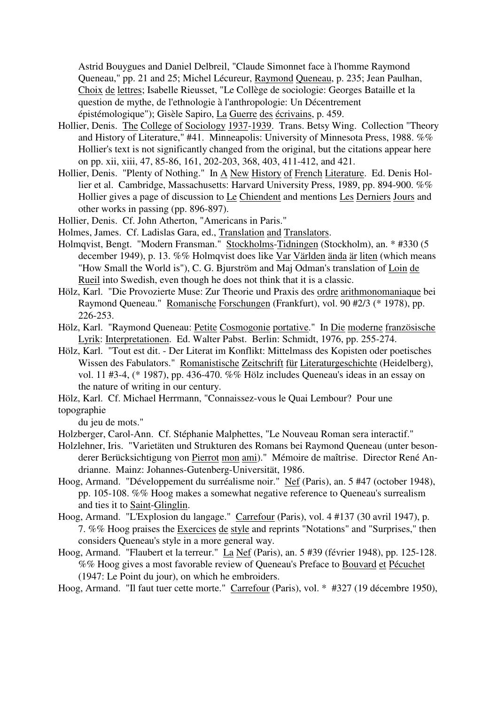Astrid Bouygues and Daniel Delbreil, "Claude Simonnet face à l'homme Raymond Queneau," pp. 21 and 25; Michel Lécureur, Raymond Queneau, p. 235; Jean Paulhan, Choix de lettres; Isabelle Rieusset, "Le Collège de sociologie: Georges Bataille et la question de mythe, de l'ethnologie à l'anthropologie: Un Décentrement épistémologique"); Gisèle Sapiro, La Guerre des écrivains, p. 459.

- Hollier, Denis. The College of Sociology 1937-1939. Trans. Betsy Wing. Collection "Theory and History of Literature," #41. Minneapolis: University of Minnesota Press, 1988. %% Hollier's text is not significantly changed from the original, but the citations appear here on pp. xii, xiii, 47, 85-86, 161, 202-203, 368, 403, 411-412, and 421.
- Hollier, Denis. "Plenty of Nothing." In A New History of French Literature. Ed. Denis Hollier et al. Cambridge, Massachusetts: Harvard University Press, 1989, pp. 894-900. %% Hollier gives a page of discussion to Le Chiendent and mentions Les Derniers Jours and other works in passing (pp. 896-897).

Hollier, Denis. Cf. John Atherton, "Americans in Paris."

- Holmes, James. Cf. Ladislas Gara, ed., Translation and Translators.
- Holmqvist, Bengt. "Modern Fransman." Stockholms-Tidningen (Stockholm), an. \* #330 (5 december 1949), p. 13. %% Holmqvist does like Var Världen ända är liten (which means "How Small the World is"), C. G. Bjurström and Maj Odman's translation of Loin de Rueil into Swedish, even though he does not think that it is a classic.
- Hölz, Karl. "Die Provozierte Muse: Zur Theorie und Praxis des ordre arithmonomaniaque bei Raymond Queneau." Romanische Forschungen (Frankfurt), vol. 90 #2/3 (\* 1978), pp. 226-253.
- Hölz, Karl. "Raymond Queneau: Petite Cosmogonie portative." In Die moderne französische Lyrik: Interpretationen. Ed. Walter Pabst. Berlin: Schmidt, 1976, pp. 255-274.
- Hölz, Karl. "Tout est dit. Der Literat im Konflikt: Mittelmass des Kopisten oder poetisches Wissen des Fabulators." Romanistische Zeitschrift für Literaturgeschichte (Heidelberg), vol. 11 #3-4, (\* 1987), pp. 436-470. %% Hölz includes Queneau's ideas in an essay on the nature of writing in our century.
- Hölz, Karl. Cf. Michael Herrmann, "Connaissez-vous le Quai Lembour? Pour une topographie
	- du jeu de mots."
- Holzberger, Carol-Ann. Cf. Stéphanie Malphettes, "Le Nouveau Roman sera interactif."
- Holzlehner, Iris. "Varietäten und Strukturen des Romans bei Raymond Queneau (unter besonderer Berücksichtigung von Pierrot mon ami)." Mémoire de maîtrise. Director René Andrianne. Mainz: Johannes-Gutenberg-Universität, 1986.
- Hoog, Armand. "Développement du surréalisme noir." Nef (Paris), an. 5 #47 (october 1948), pp. 105-108. %% Hoog makes a somewhat negative reference to Queneau's surrealism and ties it to Saint-Glinglin.
- Hoog, Armand. "L'Explosion du langage." Carrefour (Paris), vol. 4 #137 (30 avril 1947), p. 7. %% Hoog praises the Exercices de style and reprints "Notations" and "Surprises," then considers Queneau's style in a more general way.
- Hoog, Armand. "Flaubert et la terreur." La Nef (Paris), an. 5 #39 (février 1948), pp. 125-128. %% Hoog gives a most favorable review of Queneau's Preface to Bouvard et Pécuchet (1947: Le Point du jour), on which he embroiders.
- Hoog, Armand. "Il faut tuer cette morte." Carrefour (Paris), vol. \* #327 (19 décembre 1950),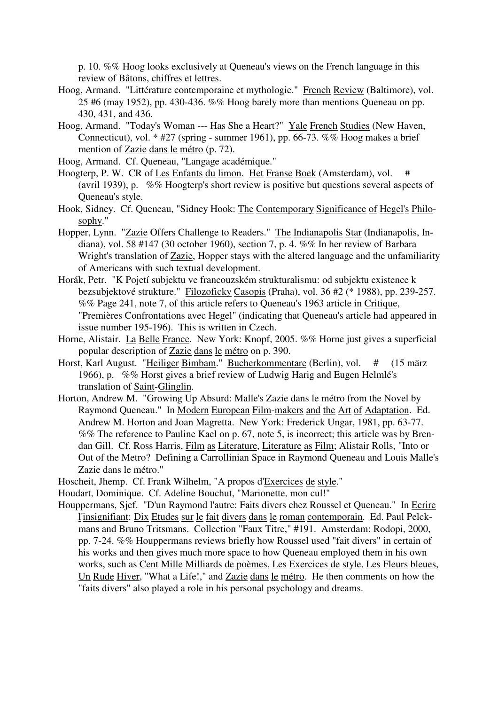p. 10. %% Hoog looks exclusively at Queneau's views on the French language in this review of Bâtons, chiffres et lettres.

- Hoog, Armand. "Littérature contemporaine et mythologie." French Review (Baltimore), vol. 25 #6 (may 1952), pp. 430-436. %% Hoog barely more than mentions Queneau on pp. 430, 431, and 436.
- Hoog, Armand. "Today's Woman --- Has She a Heart?" Yale French Studies (New Haven, Connecticut), vol.  $*$  #27 (spring - summer 1961), pp. 66-73. %% Hoog makes a brief mention of Zazie dans le métro (p. 72).
- Hoog, Armand. Cf. Queneau, "Langage académique."
- Hoogterp, P. W. CR of Les Enfants du limon. Het Franse Boek (Amsterdam), vol. # (avril 1939), p. %% Hoogterp's short review is positive but questions several aspects of Queneau's style.
- Hook, Sidney. Cf. Queneau, "Sidney Hook: The Contemporary Significance of Hegel's Philosophy."
- Hopper, Lynn. "Zazie Offers Challenge to Readers." The Indianapolis Star (Indianapolis, Indiana), vol. 58 #147 (30 october 1960), section 7, p. 4. %% In her review of Barbara Wright's translation of Zazie, Hopper stays with the altered language and the unfamiliarity of Americans with such textual development.
- Horák, Petr. "K Pojetí subjektu ve francouzském strukturalismu: od subjektu existence k bezsubjektové strukture." Filozoficky Casopis (Praha), vol. 36 #2 (\* 1988), pp. 239-257. %% Page 241, note 7, of this article refers to Queneau's 1963 article in Critique, "Premières Confrontations avec Hegel" (indicating that Queneau's article had appeared in issue number 195-196). This is written in Czech.
- Horne, Alistair. La Belle France. New York: Knopf, 2005. %% Horne just gives a superficial popular description of Zazie dans le métro on p. 390.
- Horst, Karl August. "Heiliger Bimbam." Bucherkommentare (Berlin), vol. # (15 märz 1966), p. %% Horst gives a brief review of Ludwig Harig and Eugen Helmlé's translation of Saint-Glinglin.
- Horton, Andrew M. "Growing Up Absurd: Malle's Zazie dans le métro from the Novel by Raymond Queneau." In Modern European Film-makers and the Art of Adaptation. Ed. Andrew M. Horton and Joan Magretta. New York: Frederick Ungar, 1981, pp. 63-77. %% The reference to Pauline Kael on p. 67, note 5, is incorrect; this article was by Brendan Gill. Cf. Ross Harris, Film as Literature, Literature as Film; Alistair Rolls, "Into or Out of the Metro? Defining a Carrollinian Space in Raymond Queneau and Louis Malle's Zazie dans le métro."
- Hoscheit, Jhemp. Cf. Frank Wilhelm, "A propos d'Exercices de style."
- Houdart, Dominique. Cf. Adeline Bouchut, "Marionette, mon cul!"
- Houppermans, Sjef. "D'un Raymond l'autre: Faits divers chez Roussel et Queneau." In Ecrire l'insignifiant: Dix Etudes sur le fait divers dans le roman contemporain. Ed. Paul Pelckmans and Bruno Tritsmans. Collection "Faux Titre," #191. Amsterdam: Rodopi, 2000, pp. 7-24. %% Houppermans reviews briefly how Roussel used "fait divers" in certain of his works and then gives much more space to how Queneau employed them in his own works, such as Cent Mille Milliards de poèmes, Les Exercices de style, Les Fleurs bleues, Un Rude Hiver, "What a Life!," and Zazie dans le métro. He then comments on how the "faits divers" also played a role in his personal psychology and dreams.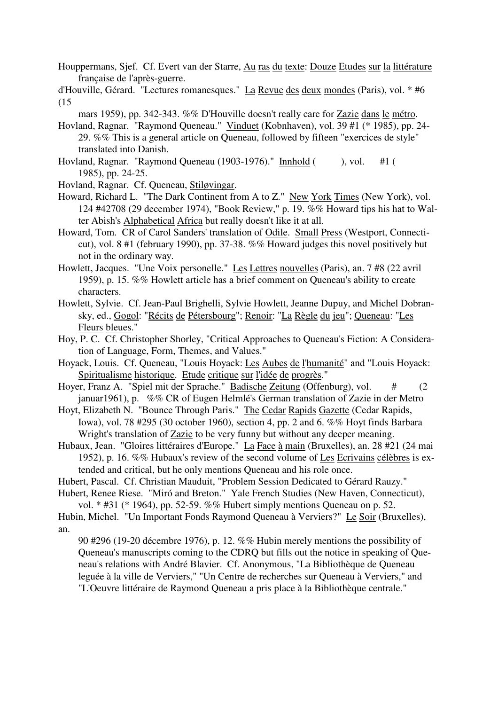Houppermans, Sjef. Cf. Evert van der Starre, Au ras du texte: Douze Etudes sur la littérature française de l'après-guerre.

d'Houville, Gérard. "Lectures romanesques." La Revue des deux mondes (Paris), vol. \* #6 (15

mars 1959), pp. 342-343. %% D'Houville doesn't really care for Zazie dans le métro.

- Hovland, Ragnar. "Raymond Queneau." Vinduet (Kobnhaven), vol. 39 #1 (\* 1985), pp. 24- 29. %% This is a general article on Queneau, followed by fifteen "exercices de style" translated into Danish.
- Hovland, Ragnar. "Raymond Queneau (1903-1976)." Innhold (), vol. #1 ( 1985), pp. 24-25.
- Hovland, Ragnar. Cf. Queneau, Stiløvingar.
- Howard, Richard L. "The Dark Continent from A to Z." New York Times (New York), vol. 124 #42708 (29 december 1974), "Book Review," p. 19. %% Howard tips his hat to Walter Abish's Alphabetical Africa but really doesn't like it at all.
- Howard, Tom. CR of Carol Sanders' translation of Odile. Small Press (Westport, Connecticut), vol. 8 #1 (february 1990), pp. 37-38. %% Howard judges this novel positively but not in the ordinary way.
- Howlett, Jacques. "Une Voix personelle." Les Lettres nouvelles (Paris), an. 7 #8 (22 avril 1959), p. 15. %% Howlett article has a brief comment on Queneau's ability to create characters.
- Howlett, Sylvie. Cf. Jean-Paul Brighelli, Sylvie Howlett, Jeanne Dupuy, and Michel Dobransky, ed., Gogol: "Récits de Pétersbourg"; Renoir: "La Règle du jeu"; Queneau: "Les Fleurs bleues."
- Hoy, P. C. Cf. Christopher Shorley, "Critical Approaches to Queneau's Fiction: A Consideration of Language, Form, Themes, and Values."
- Hoyack, Louis. Cf. Queneau, "Louis Hoyack: Les Aubes de l'humanité" and "Louis Hoyack: Spiritualisme historique. Etude critique sur l'idée de progrès."
- Hoyer, Franz A. "Spiel mit der Sprache." Badische Zeitung (Offenburg), vol. # (2 januar1961), p. %% CR of Eugen Helmlé's German translation of Zazie in der Metro
- Hoyt, Elizabeth N. "Bounce Through Paris." The Cedar Rapids Gazette (Cedar Rapids, Iowa), vol. 78 #295 (30 october 1960), section 4, pp. 2 and 6. %% Hoyt finds Barbara Wright's translation of Zazie to be very funny but without any deeper meaning.
- Hubaux, Jean. "Gloires littéraires d'Europe." La Face à main (Bruxelles), an. 28 #21 (24 mai 1952), p. 16. %% Hubaux's review of the second volume of Les Ecrivains célèbres is extended and critical, but he only mentions Queneau and his role once.

Hubert, Pascal. Cf. Christian Mauduit, "Problem Session Dedicated to Gérard Rauzy." Hubert, Renee Riese. "Miró and Breton." Yale French Studies (New Haven, Connecticut),

vol. \* #31 (\* 1964), pp. 52-59. %% Hubert simply mentions Queneau on p. 52. Hubin, Michel. "Un Important Fonds Raymond Queneau à Verviers?" Le Soir (Bruxelles), an.

90 #296 (19-20 décembre 1976), p. 12. %% Hubin merely mentions the possibility of Queneau's manuscripts coming to the CDRQ but fills out the notice in speaking of Queneau's relations with André Blavier. Cf. Anonymous, "La Bibliothèque de Queneau leguée à la ville de Verviers," "Un Centre de recherches sur Queneau à Verviers," and "L'Oeuvre littéraire de Raymond Queneau a pris place à la Bibliothèque centrale."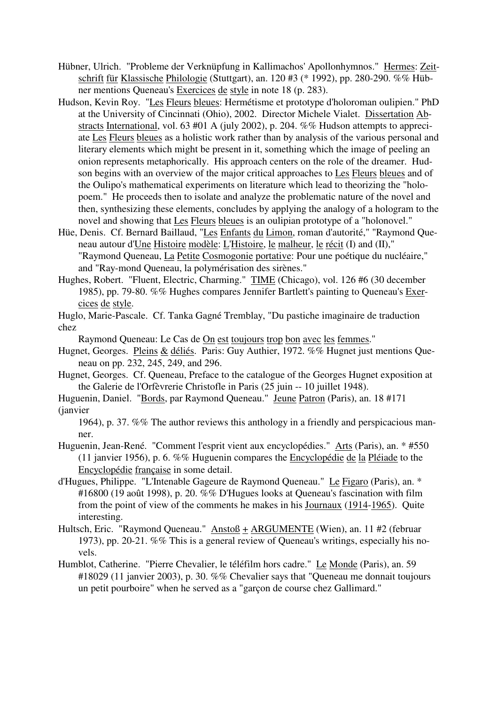- Hübner, Ulrich. "Probleme der Verknüpfung in Kallimachos' Apollonhymnos." Hermes: Zeitschrift für Klassische Philologie (Stuttgart), an. 120 #3 (\* 1992), pp. 280-290. %% Hübner mentions Queneau's Exercices de style in note 18 (p. 283).
- Hudson, Kevin Roy. "Les Fleurs bleues: Hermétisme et prototype d'holoroman oulipien." PhD at the University of Cincinnati (Ohio), 2002. Director Michele Vialet. Dissertation Abstracts International, vol. 63 #01 A (july 2002), p. 204. %% Hudson attempts to appreciate Les Fleurs bleues as a holistic work rather than by analysis of the various personal and literary elements which might be present in it, something which the image of peeling an onion represents metaphorically. His approach centers on the role of the dreamer. Hudson begins with an overview of the major critical approaches to Les Fleurs bleues and of the Oulipo's mathematical experiments on literature which lead to theorizing the "holopoem." He proceeds then to isolate and analyze the problematic nature of the novel and then, synthesizing these elements, concludes by applying the analogy of a hologram to the novel and showing that Les Fleurs bleues is an oulipian prototype of a "holonovel."
- Hüe, Denis. Cf. Bernard Baillaud, "Les Enfants du Limon, roman d'autorité," "Raymond Queneau autour d'Une Histoire modèle: L'Histoire, le malheur, le récit (I) and (II)," "Raymond Queneau, La Petite Cosmogonie portative: Pour une poétique du nucléaire," and "Ray-mond Queneau, la polymérisation des sirènes."
- Hughes, Robert. "Fluent, Electric, Charming." TIME (Chicago), vol. 126 #6 (30 december 1985), pp. 79-80. %% Hughes compares Jennifer Bartlett's painting to Queneau's Exercices de style.
- Huglo, Marie-Pascale. Cf. Tanka Gagné Tremblay, "Du pastiche imaginaire de traduction chez

Raymond Queneau: Le Cas de On est toujours trop bon avec les femmes."

- Hugnet, Georges. Pleins & déliés. Paris: Guy Authier, 1972. %% Hugnet just mentions Queneau on pp. 232, 245, 249, and 296.
- Hugnet, Georges. Cf. Queneau, Preface to the catalogue of the Georges Hugnet exposition at the Galerie de l'Orfèvrerie Christofle in Paris (25 juin -- 10 juillet 1948).
- Huguenin, Daniel. "Bords, par Raymond Queneau." Jeune Patron (Paris), an. 18 #171 (janvier
	- 1964), p. 37. %% The author reviews this anthology in a friendly and perspicacious manner.
- Huguenin, Jean-René. "Comment l'esprit vient aux encyclopédies." Arts (Paris), an. \* #550 (11 janvier 1956), p. 6. %% Huguenin compares the Encyclopédie de la Pléiade to the Encyclopédie française in some detail.
- d'Hugues, Philippe. "L'Intenable Gageure de Raymond Queneau." Le Figaro (Paris), an. \* #16800 (19 août 1998), p. 20. %% D'Hugues looks at Queneau's fascination with film from the point of view of the comments he makes in his Journaux (1914-1965). Quite interesting.
- Hultsch, Eric. "Raymond Queneau." Anstoß + ARGUMENTE (Wien), an. 11 #2 (februar 1973), pp. 20-21. %% This is a general review of Queneau's writings, especially his novels.
- Humblot, Catherine. "Pierre Chevalier, le téléfilm hors cadre." Le Monde (Paris), an. 59 #18029 (11 janvier 2003), p. 30. %% Chevalier says that "Queneau me donnait toujours un petit pourboire" when he served as a "garçon de course chez Gallimard."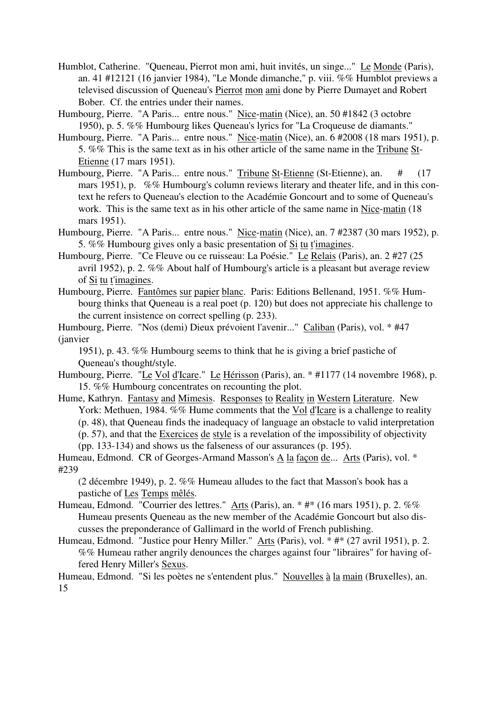- Humblot, Catherine. "Queneau, Pierrot mon ami, huit invités, un singe..." Le Monde (Paris), an. 41 #12121 (16 janvier 1984), "Le Monde dimanche," p. viii. %% Humblot previews a televised discussion of Queneau's Pierrot mon ami done by Pierre Dumayet and Robert Bober. Cf. the entries under their names.
- Humbourg, Pierre. "A Paris... entre nous." Nice-matin (Nice), an. 50 #1842 (3 octobre 1950), p. 5. %% Humbourg likes Queneau's lyrics for "La Croqueuse de diamants."
- Humbourg, Pierre. "A Paris... entre nous." Nice-matin (Nice), an. 6 #2008 (18 mars 1951), p. 5. %% This is the same text as in his other article of the same name in the Tribune St-Etienne (17 mars 1951).
- Humbourg, Pierre. "A Paris... entre nous." Tribune St-Etienne (St-Etienne), an. # (17 mars 1951), p. %% Humbourg's column reviews literary and theater life, and in this context he refers to Queneau's election to the Académie Goncourt and to some of Queneau's work. This is the same text as in his other article of the same name in Nice-matin (18 mars 1951).
- Humbourg, Pierre. "A Paris... entre nous." Nice-matin (Nice), an. 7 #2387 (30 mars 1952), p. 5. %% Humbourg gives only a basic presentation of Si tu t'imagines.
- Humbourg, Pierre. "Ce Fleuve ou ce ruisseau: La Poésie." Le Relais (Paris), an. 2 #27 (25 avril 1952), p. 2. %% About half of Humbourg's article is a pleasant but average review of Si tu t'imagines.
- Humbourg, Pierre. Fantômes sur papier blanc. Paris: Editions Bellenand, 1951. %% Humbourg thinks that Queneau is a real poet (p. 120) but does not appreciate his challenge to the current insistence on correct spelling (p. 233).

Humbourg, Pierre. "Nos (demi) Dieux prévoient l'avenir..." Caliban (Paris), vol. \* #47 (janvier

1951), p. 43. %% Humbourg seems to think that he is giving a brief pastiche of Queneau's thought/style.

- Humbourg, Pierre. "Le Vol d'Icare." Le Hérisson (Paris), an. \* #1177 (14 novembre 1968), p. 15. %% Humbourg concentrates on recounting the plot.
- Hume, Kathryn. Fantasy and Mimesis. Responses to Reality in Western Literature. New York: Methuen, 1984. %% Hume comments that the Vol d'Icare is a challenge to reality (p. 48), that Queneau finds the inadequacy of language an obstacle to valid interpretation (p. 57), and that the Exercices de style is a revelation of the impossibility of objectivity (pp. 133-134) and shows us the falseness of our assurances (p. 195).
- Humeau, Edmond. CR of Georges-Armand Masson's A la façon de... Arts (Paris), vol. \* #239
	- (2 décembre 1949), p. 2. %% Humeau alludes to the fact that Masson's book has a pastiche of Les Temps mêlés.
- Humeau, Edmond. "Courrier des lettres." Arts (Paris), an. \* #\* (16 mars 1951), p. 2. %% Humeau presents Queneau as the new member of the Académie Goncourt but also discusses the preponderance of Gallimard in the world of French publishing.
- Humeau, Edmond. "Justice pour Henry Miller." Arts (Paris), vol. \* #\* (27 avril 1951), p. 2. %% Humeau rather angrily denounces the charges against four "libraires" for having offered Henry Miller's Sexus.

Humeau, Edmond. "Si les poètes ne s'entendent plus." Nouvelles à la main (Bruxelles), an. 15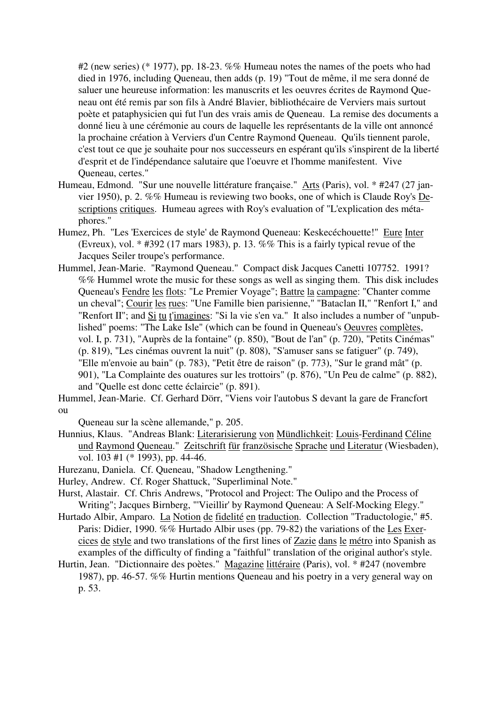#2 (new series) (\* 1977), pp. 18-23. %% Humeau notes the names of the poets who had died in 1976, including Queneau, then adds (p. 19) "Tout de même, il me sera donné de saluer une heureuse information: les manuscrits et les oeuvres écrites de Raymond Queneau ont été remis par son fils à André Blavier, bibliothécaire de Verviers mais surtout poète et pataphysicien qui fut l'un des vrais amis de Queneau. La remise des documents a donné lieu à une cérémonie au cours de laquelle les représentants de la ville ont annoncé la prochaine création à Verviers d'un Centre Raymond Queneau. Qu'ils tiennent parole, c'est tout ce que je souhaite pour nos successeurs en espérant qu'ils s'inspirent de la liberté d'esprit et de l'indépendance salutaire que l'oeuvre et l'homme manifestent. Vive Queneau, certes."

- Humeau, Edmond. "Sur une nouvelle littérature française." Arts (Paris), vol. \* #247 (27 janvier 1950), p. 2. %% Humeau is reviewing two books, one of which is Claude Roy's Descriptions critiques. Humeau agrees with Roy's evaluation of "L'explication des métaphores."
- Humez, Ph. "Les 'Exercices de style' de Raymond Queneau: Keskecéchouette!" Eure Inter (Evreux), vol.  $*$  #392 (17 mars 1983), p. 13. %% This is a fairly typical revue of the Jacques Seiler troupe's performance.
- Hummel, Jean-Marie. "Raymond Queneau." Compact disk Jacques Canetti 107752. 1991? %% Hummel wrote the music for these songs as well as singing them. This disk includes Queneau's Fendre les flots: "Le Premier Voyage"; Battre la campagne: "Chanter comme un cheval"; Courir les rues: "Une Famille bien parisienne," "Bataclan II," "Renfort I," and "Renfort II"; and Si tu t'imagines: "Si la vie s'en va." It also includes a number of "unpublished" poems: "The Lake Isle" (which can be found in Queneau's Oeuvres complètes, vol. I, p. 731), "Auprès de la fontaine" (p. 850), "Bout de l'an" (p. 720), "Petits Cinémas" (p. 819), "Les cinémas ouvrent la nuit" (p. 808), "S'amuser sans se fatiguer" (p. 749), "Elle m'envoie au bain" (p. 783), "Petit être de raison" (p. 773), "Sur le grand mât" (p. 901), "La Complainte des ouatures sur les trottoirs" (p. 876), "Un Peu de calme" (p. 882), and "Quelle est donc cette éclaircie" (p. 891).

Hummel, Jean-Marie. Cf. Gerhard Dörr, "Viens voir l'autobus S devant la gare de Francfort ou

Queneau sur la scène allemande," p. 205.

- Hunnius, Klaus. "Andreas Blank: Literarisierung von Mündlichkeit: Louis-Ferdinand Céline und Raymond Queneau." Zeitschrift für französische Sprache und Literatur (Wiesbaden), vol. 103 #1 (\* 1993), pp. 44-46.
- Hurezanu, Daniela. Cf. Queneau, "Shadow Lengthening."
- Hurley, Andrew. Cf. Roger Shattuck, "Superliminal Note."

Hurst, Alastair. Cf. Chris Andrews, "Protocol and Project: The Oulipo and the Process of Writing"; Jacques Birnberg, "'Vieillir' by Raymond Queneau: A Self-Mocking Elegy."

Hurtado Albir, Amparo. La Notion de fidelité en traduction. Collection "Traductologie," #5. Paris: Didier, 1990. %% Hurtado Albir uses (pp. 79-82) the variations of the Les Exercices de style and two translations of the first lines of Zazie dans le métro into Spanish as examples of the difficulty of finding a "faithful" translation of the original author's style.

Hurtin, Jean. "Dictionnaire des poètes." Magazine littéraire (Paris), vol. \* #247 (novembre 1987), pp. 46-57. %% Hurtin mentions Queneau and his poetry in a very general way on p. 53.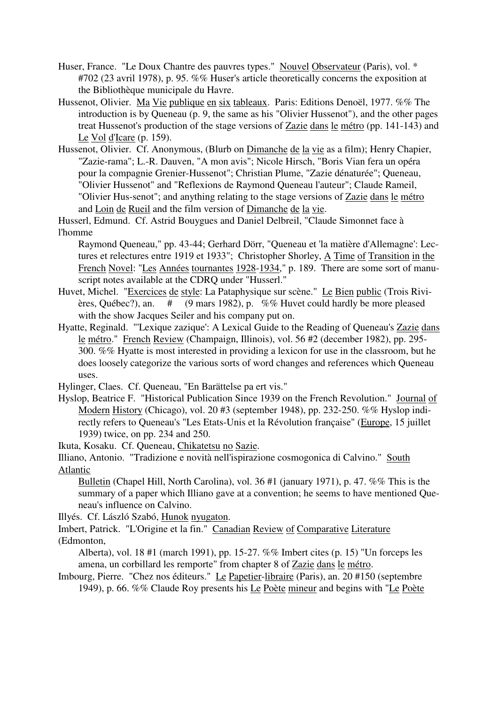- Huser, France. "Le Doux Chantre des pauvres types." Nouvel Observateur (Paris), vol. \* #702 (23 avril 1978), p. 95. %% Huser's article theoretically concerns the exposition at the Bibliothèque municipale du Havre.
- Hussenot, Olivier. Ma Vie publique en six tableaux. Paris: Editions Denoël, 1977. %% The introduction is by Queneau (p. 9, the same as his "Olivier Hussenot"), and the other pages treat Hussenot's production of the stage versions of Zazie dans le métro (pp. 141-143) and Le Vol d'Icare (p. 159).
- Hussenot, Olivier. Cf. Anonymous, (Blurb on Dimanche de la vie as a film); Henry Chapier, "Zazie-rama"; L.-R. Dauven, "A mon avis"; Nicole Hirsch, "Boris Vian fera un opéra pour la compagnie Grenier-Hussenot"; Christian Plume, "Zazie dénaturée"; Queneau, "Olivier Hussenot" and "Reflexions de Raymond Queneau l'auteur"; Claude Rameil, "Olivier Hus-senot"; and anything relating to the stage versions of Zazie dans le métro and Loin de Rueil and the film version of Dimanche de la vie.

Husserl, Edmund. Cf. Astrid Bouygues and Daniel Delbreil, "Claude Simonnet face à l'homme

Raymond Queneau," pp. 43-44; Gerhard Dörr, "Queneau et 'la matière d'Allemagne': Lectures et relectures entre 1919 et 1933"; Christopher Shorley, A Time of Transition in the French Novel: "Les Années tournantes 1928-1934," p. 189. There are some sort of manuscript notes available at the CDRQ under "Husserl."

- Huvet, Michel. "Exercices de style: La Pataphysique sur scène." Le Bien public (Trois Rivières, Québec?), an. # (9 mars 1982), p. %% Huvet could hardly be more pleased with the show Jacques Seiler and his company put on.
- Hyatte, Reginald. "'Lexique zazique': A Lexical Guide to the Reading of Queneau's Zazie dans le métro." French Review (Champaign, Illinois), vol. 56 #2 (december 1982), pp. 295- 300. %% Hyatte is most interested in providing a lexicon for use in the classroom, but he does loosely categorize the various sorts of word changes and references which Queneau uses.

Hylinger, Claes. Cf. Queneau, "En Barättelse pa ert vis."

Hyslop, Beatrice F. "Historical Publication Since 1939 on the French Revolution." Journal of Modern History (Chicago), vol. 20 #3 (september 1948), pp. 232-250. %% Hyslop indirectly refers to Queneau's "Les Etats-Unis et la Révolution française" (Europe, 15 juillet 1939) twice, on pp. 234 and 250.

Ikuta, Kosaku. Cf. Queneau, Chikatetsu no Sazie.

Illiano, Antonio. "Tradizione e novità nell'ispirazione cosmogonica di Calvino." South Atlantic

Bulletin (Chapel Hill, North Carolina), vol. 36 #1 (january 1971), p. 47. %% This is the summary of a paper which Illiano gave at a convention; he seems to have mentioned Queneau's influence on Calvino.

Illyés. Cf. László Szabó, Hunok nyugaton.

Imbert, Patrick. "L'Origine et la fin." Canadian Review of Comparative Literature (Edmonton,

Alberta), vol. 18 #1 (march 1991), pp. 15-27. %% Imbert cites (p. 15) "Un forceps les amena, un corbillard les remporte" from chapter 8 of Zazie dans le métro.

Imbourg, Pierre. "Chez nos éditeurs." Le Papetier-libraire (Paris), an. 20 #150 (septembre 1949), p. 66. %% Claude Roy presents his Le Poète mineur and begins with "Le Poète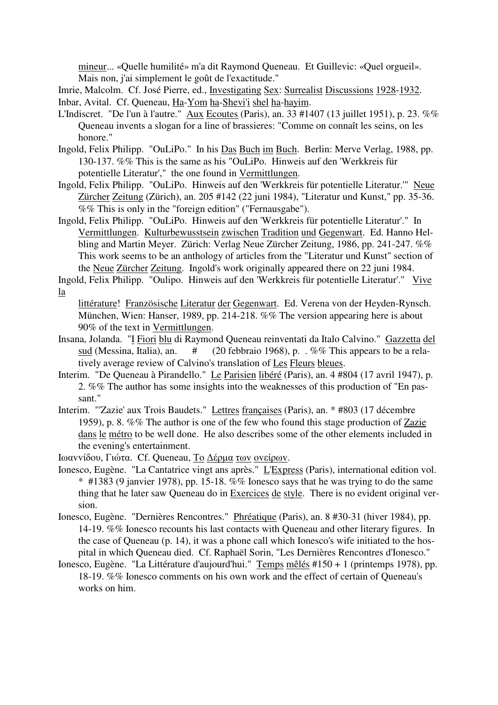mineur... «Quelle humilité» m'a dit Raymond Queneau. Et Guillevic: «Quel orgueil». Mais non, j'ai simplement le goût de l'exactitude."

Imrie, Malcolm. Cf. José Pierre, ed., Investigating Sex: Surrealist Discussions 1928-1932. Inbar, Avital. Cf. Queneau, Ha-Yom ha-Shevi'i shel ha-hayim.

- L'Indiscret. "De l'un à l'autre." Aux Ecoutes (Paris), an. 33 #1407 (13 juillet 1951), p. 23. %% Queneau invents a slogan for a line of brassieres: "Comme on connaît les seins, on les honore."
- Ingold, Felix Philipp. "OuLiPo." In his Das Buch im Buch. Berlin: Merve Verlag, 1988, pp. 130-137. %% This is the same as his "OuLiPo. Hinweis auf den 'Werkkreis für potentielle Literatur'," the one found in Vermittlungen.
- Ingold, Felix Philipp. "OuLiPo. Hinweis auf den 'Werkkreis für potentielle Literatur.'" Neue Zürcher Zeitung (Zürich), an. 205 #142 (22 juni 1984), "Literatur und Kunst," pp. 35-36. %% This is only in the "foreign edition" ("Fernausgabe").
- Ingold, Felix Philipp. "OuLiPo. Hinweis auf den 'Werkkreis für potentielle Literatur'." In Vermittlungen. Kulturbewusstsein zwischen Tradition und Gegenwart. Ed. Hanno Helbling and Martin Meyer. Zürich: Verlag Neue Zürcher Zeitung, 1986, pp. 241-247. %% This work seems to be an anthology of articles from the "Literatur und Kunst" section of the Neue Zürcher Zeitung. Ingold's work originally appeared there on 22 juni 1984.

Ingold, Felix Philipp. "Oulipo. Hinweis auf den 'Werkkreis für potentielle Literatur'." Vive la

- littérature! Französische Literatur der Gegenwart. Ed. Verena von der Heyden-Rynsch. München, Wien: Hanser, 1989, pp. 214-218. %% The version appearing here is about 90% of the text in Vermittlungen.
- Insana, Jolanda. "I Fiori blu di Raymond Queneau reinventati da Italo Calvino." Gazzetta del sud (Messina, Italia), an.  $\#$  (20 febbraio 1968), p. . %% This appears to be a relatively average review of Calvino's translation of Les Fleurs bleues.
- Interim. "De Queneau à Pirandello." Le Parisien libéré (Paris), an. 4 #804 (17 avril 1947), p. 2. %% The author has some insights into the weaknesses of this production of "En passant."
- Interim. "'Zazie' aux Trois Baudets." Lettres françaises (Paris), an. \* #803 (17 décembre 1959), p. 8. %% The author is one of the few who found this stage production of Zazie dans le métro to be well done. He also describes some of the other elements included in the evening's entertainment.

Iωαvvίδoυ, Γιώτα. Cf. Queneau, Τo ∆έρµα τωv ovείρωv.

- Ionesco, Eugène. "La Cantatrice vingt ans après." L'Express (Paris), international edition vol.  $*$  #1383 (9 janvier 1978), pp. 15-18. %% Ionesco says that he was trying to do the same thing that he later saw Queneau do in Exercices de style. There is no evident original version.
- Ionesco, Eugène. "Dernières Rencontres." Phréatique (Paris), an. 8 #30-31 (hiver 1984), pp. 14-19. %% Ionesco recounts his last contacts with Queneau and other literary figures. In the case of Queneau (p. 14), it was a phone call which Ionesco's wife initiated to the hospital in which Queneau died. Cf. Raphaël Sorin, "Les Dernières Rencontres d'Ionesco."
- Ionesco, Eugène. "La Littérature d'aujourd'hui." Temps mêlés #150 + 1 (printemps 1978), pp. 18-19. %% Ionesco comments on his own work and the effect of certain of Queneau's works on him.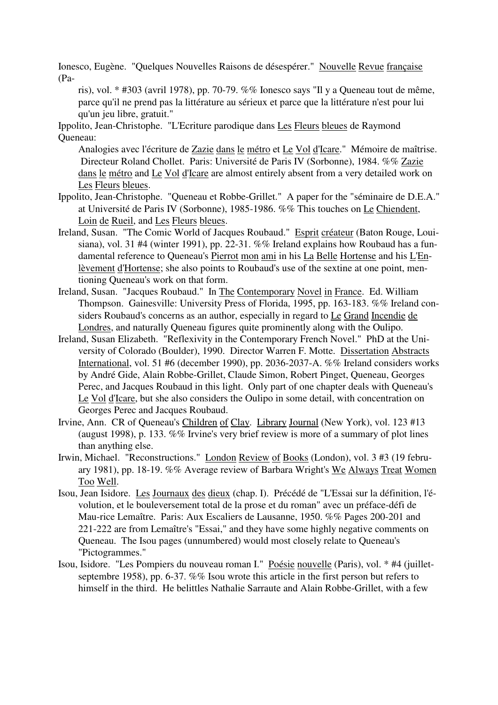Ionesco, Eugène. "Quelques Nouvelles Raisons de désespérer." Nouvelle Revue française (Pa-

ris), vol. \* #303 (avril 1978), pp. 70-79. %% Ionesco says "Il y a Queneau tout de même, parce qu'il ne prend pas la littérature au sérieux et parce que la littérature n'est pour lui qu'un jeu libre, gratuit."

Ippolito, Jean-Christophe. "L'Ecriture parodique dans Les Fleurs bleues de Raymond Queneau:

Analogies avec l'écriture de Zazie dans le métro et Le Vol d'Icare." Mémoire de maîtrise. Directeur Roland Chollet. Paris: Université de Paris IV (Sorbonne), 1984. %% Zazie dans le métro and Le Vol d'Icare are almost entirely absent from a very detailed work on Les Fleurs bleues.

- Ippolito, Jean-Christophe. "Queneau et Robbe-Grillet." A paper for the "séminaire de D.E.A." at Université de Paris IV (Sorbonne), 1985-1986. %% This touches on Le Chiendent, Loin de Rueil, and Les Fleurs bleues.
- Ireland, Susan. "The Comic World of Jacques Roubaud." Esprit créateur (Baton Rouge, Louisiana), vol. 31 #4 (winter 1991), pp. 22-31. %% Ireland explains how Roubaud has a fundamental reference to Queneau's Pierrot mon ami in his La Belle Hortense and his L'Enlèvement d'Hortense; she also points to Roubaud's use of the sextine at one point, mentioning Queneau's work on that form.
- Ireland, Susan. "Jacques Roubaud." In The Contemporary Novel in France. Ed. William Thompson. Gainesville: University Press of Florida, 1995, pp. 163-183. %% Ireland considers Roubaud's concerns as an author, especially in regard to Le Grand Incendie de Londres, and naturally Queneau figures quite prominently along with the Oulipo.
- Ireland, Susan Elizabeth. "Reflexivity in the Contemporary French Novel." PhD at the University of Colorado (Boulder), 1990. Director Warren F. Motte. Dissertation Abstracts International, vol. 51 #6 (december 1990), pp. 2036-2037-A. %% Ireland considers works by André Gide, Alain Robbe-Grillet, Claude Simon, Robert Pinget, Queneau, Georges Perec, and Jacques Roubaud in this light. Only part of one chapter deals with Queneau's Le Vol d'Icare, but she also considers the Oulipo in some detail, with concentration on Georges Perec and Jacques Roubaud.
- Irvine, Ann. CR of Queneau's Children of Clay. Library Journal (New York), vol. 123 #13 (august 1998), p. 133. %% Irvine's very brief review is more of a summary of plot lines than anything else.
- Irwin, Michael. "Reconstructions." London Review of Books (London), vol. 3 #3 (19 february 1981), pp. 18-19. %% Average review of Barbara Wright's We Always Treat Women Too Well.
- Isou, Jean Isidore. Les Journaux des dieux (chap. I). Précédé de "L'Essai sur la définition, l'évolution, et le bouleversement total de la prose et du roman" avec un préface-défi de Mau-rice Lemaître. Paris: Aux Escaliers de Lausanne, 1950. %% Pages 200-201 and 221-222 are from Lemaître's "Essai," and they have some highly negative comments on Queneau. The Isou pages (unnumbered) would most closely relate to Queneau's "Pictogrammes."
- Isou, Isidore. "Les Pompiers du nouveau roman I." Poésie nouvelle (Paris), vol. \* #4 (juilletseptembre 1958), pp. 6-37. %% Isou wrote this article in the first person but refers to himself in the third. He belittles Nathalie Sarraute and Alain Robbe-Grillet, with a few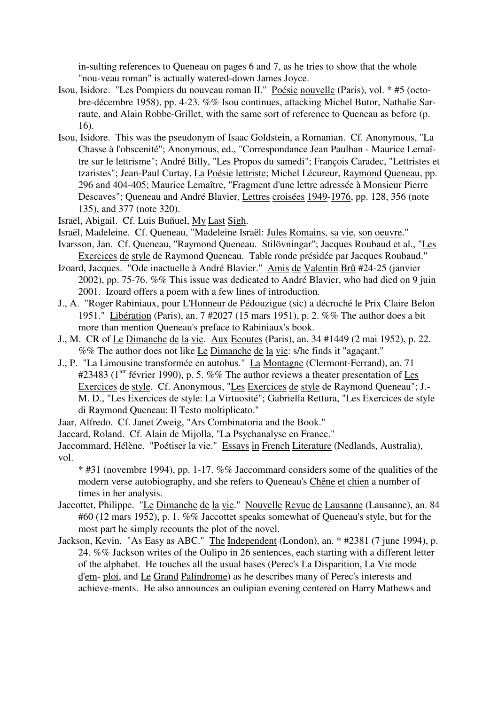in-sulting references to Queneau on pages 6 and 7, as he tries to show that the whole "nou-veau roman" is actually watered-down James Joyce.

- Isou, Isidore. "Les Pompiers du nouveau roman II." Poésie nouvelle (Paris), vol. \* #5 (octobre-décembre 1958), pp. 4-23. %% Isou continues, attacking Michel Butor, Nathalie Sarraute, and Alain Robbe-Grillet, with the same sort of reference to Queneau as before (p. 16).
- Isou, Isidore. This was the pseudonym of Isaac Goldstein, a Romanian. Cf. Anonymous, "La Chasse à l'obscenité"; Anonymous, ed., "Correspondance Jean Paulhan - Maurice Lemaître sur le lettrisme"; André Billy, "Les Propos du samedi"; François Caradec, "Lettristes et tzaristes"; Jean-Paul Curtay, La Poésie lettriste; Michel Lécureur, Raymond Queneau, pp. 296 and 404-405; Maurice Lemaître, "Fragment d'une lettre adressée à Monsieur Pierre Descaves"; Queneau and André Blavier, Lettres croisées 1949-1976, pp. 128, 356 (note 135), and 377 (note 320).
- Israël, Abigail. Cf. Luis Buñuel, My Last Sigh.
- Israël, Madeleine. Cf. Queneau, "Madeleine Israël: Jules Romains, sa vie, son oeuvre."
- Ivarsson, Jan. Cf. Queneau, "Raymond Queneau. Stilövningar"; Jacques Roubaud et al., "Les Exercices de style de Raymond Queneau. Table ronde présidée par Jacques Roubaud."
- Izoard, Jacques. "Ode inactuelle à André Blavier." Amis de Valentin Brû #24-25 (janvier 2002), pp. 75-76. %% This issue was dedicated to André Blavier, who had died on 9 juin 2001. Izoard offers a poem with a few lines of introduction.
- J., A. "Roger Rabiniaux, pour L'Honneur de Pédouzigue (sic) a décroché le Prix Claire Belon 1951." Libération (Paris), an. 7 #2027 (15 mars 1951), p. 2. %% The author does a bit more than mention Queneau's preface to Rabiniaux's book.
- J., M. CR of Le Dimanche de la vie. Aux Ecoutes (Paris), an. 34 #1449 (2 mai 1952), p. 22. %% The author does not like Le Dimanche de la vie: s/he finds it "agaçant."
- J., P. "La Limousine transformée en autobus." La Montagne (Clermont-Ferrand), an. 71 #23483 ( $1^{jet}$  février 1990), p. 5. %% The author reviews a theater presentation of Les Exercices de style. Cf. Anonymous, "Les Exercices de style de Raymond Queneau"; J.- M. D., "Les Exercices de style: La Virtuosité"; Gabriella Rettura, "Les Exercices de style di Raymond Queneau: Il Testo moltiplicato."
- Jaar, Alfredo. Cf. Janet Zweig, "Ars Combinatoria and the Book."
- Jaccard, Roland. Cf. Alain de Mijolla, "La Psychanalyse en France."

Jaccommard, Hélène. "Poétiser la vie." Essays in French Literature (Nedlands, Australia), vol.

\* #31 (novembre 1994), pp. 1-17. %% Jaccommard considers some of the qualities of the modern verse autobiography, and she refers to Queneau's Chêne et chien a number of times in her analysis.

- Jaccottet, Philippe. "Le Dimanche de la vie." Nouvelle Revue de Lausanne (Lausanne), an. 84 #60 (12 mars 1952), p. 1. %% Jaccottet speaks somewhat of Queneau's style, but for the most part he simply recounts the plot of the novel.
- Jackson, Kevin. "As Easy as ABC." The Independent (London), an. \* #2381 (7 june 1994), p. 24. %% Jackson writes of the Oulipo in 26 sentences, each starting with a different letter of the alphabet. He touches all the usual bases (Perec's La Disparition, La Vie mode d'em- ploi, and Le Grand Palindrome) as he describes many of Perec's interests and achieve-ments. He also announces an oulipian evening centered on Harry Mathews and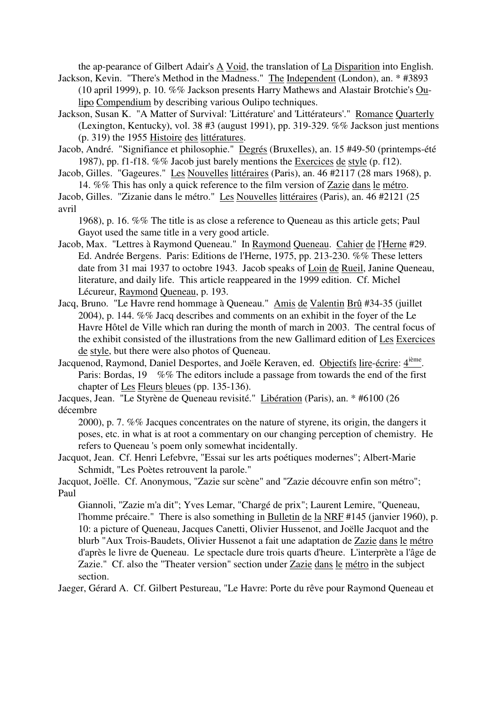the ap-pearance of Gilbert Adair's A Void, the translation of La Disparition into English.

Jackson, Kevin. "There's Method in the Madness." The Independent (London), an. \* #3893 (10 april 1999), p. 10. %% Jackson presents Harry Mathews and Alastair Brotchie's Oulipo Compendium by describing various Oulipo techniques.

Jackson, Susan K. "A Matter of Survival: 'Littérature' and 'Littérateurs'." Romance Quarterly (Lexington, Kentucky), vol. 38 #3 (august 1991), pp. 319-329. %% Jackson just mentions (p. 319) the 1955 Histoire des littératures.

Jacob, André. "Signifiance et philosophie." Degrés (Bruxelles), an. 15 #49-50 (printemps-été 1987), pp. f1-f18. %% Jacob just barely mentions the Exercices de style (p. f12).

Jacob, Gilles. "Gageures." Les Nouvelles littéraires (Paris), an. 46 #2117 (28 mars 1968), p. 14. %% This has only a quick reference to the film version of Zazie dans le métro.

Jacob, Gilles. "Zizanie dans le métro." Les Nouvelles littéraires (Paris), an. 46 #2121 (25 avril

1968), p. 16. %% The title is as close a reference to Queneau as this article gets; Paul Gayot used the same title in a very good article.

- Jacob, Max. "Lettres à Raymond Queneau." In Raymond Queneau. Cahier de l'Herne #29. Ed. Andrée Bergens. Paris: Editions de l'Herne, 1975, pp. 213-230. %% These letters date from 31 mai 1937 to octobre 1943. Jacob speaks of Loin de Rueil, Janine Queneau, literature, and daily life. This article reappeared in the 1999 edition. Cf. Michel Lécureur, Raymond Queneau, p. 193.
- Jacq, Bruno. "Le Havre rend hommage à Queneau." Amis de Valentin Brû #34-35 (juillet 2004), p. 144. %% Jacq describes and comments on an exhibit in the foyer of the Le Havre Hôtel de Ville which ran during the month of march in 2003. The central focus of the exhibit consisted of the illustrations from the new Gallimard edition of Les Exercices de style, but there were also photos of Queneau.

Jacquenod, Raymond, Daniel Desportes, and Joële Keraven, ed. Objectifs lire-écrire: 4<sup>ième</sup>. Paris: Bordas, 19 %% The editors include a passage from towards the end of the first chapter of Les Fleurs bleues (pp. 135-136).

Jacques, Jean. "Le Styrène de Queneau revisité." Libération (Paris), an. \* #6100 (26 décembre

2000), p. 7. %% Jacques concentrates on the nature of styrene, its origin, the dangers it poses, etc. in what is at root a commentary on our changing perception of chemistry. He refers to Queneau 's poem only somewhat incidentally.

Jacquot, Jean. Cf. Henri Lefebvre, "Essai sur les arts poétiques modernes"; Albert-Marie Schmidt, "Les Poètes retrouvent la parole."

Jacquot, Joëlle. Cf. Anonymous, "Zazie sur scène" and "Zazie découvre enfin son métro"; Paul

Giannoli, "Zazie m'a dit"; Yves Lemar, "Chargé de prix"; Laurent Lemire, "Queneau, l'homme précaire." There is also something in Bulletin de la NRF #145 (janvier 1960), p. 10: a picture of Queneau, Jacques Canetti, Olivier Hussenot, and Joëlle Jacquot and the blurb "Aux Trois-Baudets, Olivier Hussenot a fait une adaptation de Zazie dans le métro d'après le livre de Queneau. Le spectacle dure trois quarts d'heure. L'interprète a l'âge de Zazie." Cf. also the "Theater version" section under Zazie dans le métro in the subject section.

Jaeger, Gérard A. Cf. Gilbert Pestureau, "Le Havre: Porte du rêve pour Raymond Queneau et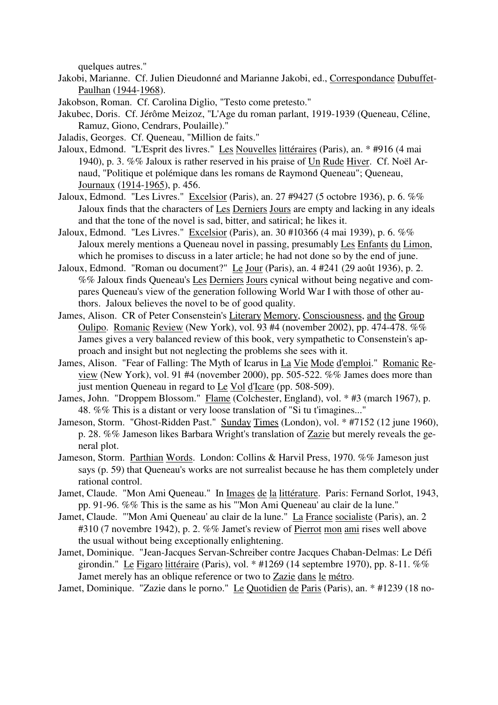quelques autres."

- Jakobi, Marianne. Cf. Julien Dieudonné and Marianne Jakobi, ed., Correspondance Dubuffet-Paulhan (1944-1968).
- Jakobson, Roman. Cf. Carolina Diglio, "Testo come pretesto."
- Jakubec, Doris. Cf. Jérôme Meizoz, "L'Age du roman parlant, 1919-1939 (Queneau, Céline, Ramuz, Giono, Cendrars, Poulaille)."
- Jaladis, Georges. Cf. Queneau, "Million de faits."
- Jaloux, Edmond. "L'Esprit des livres." Les Nouvelles littéraires (Paris), an. \* #916 (4 mai 1940), p. 3. %% Jaloux is rather reserved in his praise of Un Rude Hiver. Cf. Noël Arnaud, "Politique et polémique dans les romans de Raymond Queneau"; Queneau, Journaux (1914-1965), p. 456.
- Jaloux, Edmond. "Les Livres." Excelsior (Paris), an. 27 #9427 (5 octobre 1936), p. 6. %% Jaloux finds that the characters of Les Derniers Jours are empty and lacking in any ideals and that the tone of the novel is sad, bitter, and satirical; he likes it.
- Jaloux, Edmond. "Les Livres." Excelsior (Paris), an. 30 #10366 (4 mai 1939), p. 6. %% Jaloux merely mentions a Queneau novel in passing, presumably Les Enfants du Limon, which he promises to discuss in a later article; he had not done so by the end of june.
- Jaloux, Edmond. "Roman ou document?" Le Jour (Paris), an. 4 #241 (29 août 1936), p. 2. %% Jaloux finds Queneau's Les Derniers Jours cynical without being negative and compares Queneau's view of the generation following World War I with those of other authors. Jaloux believes the novel to be of good quality.
- James, Alison. CR of Peter Consenstein's Literary Memory, Consciousness, and the Group Oulipo. Romanic Review (New York), vol. 93 #4 (november 2002), pp. 474-478. %% James gives a very balanced review of this book, very sympathetic to Consenstein's approach and insight but not neglecting the problems she sees with it.
- James, Alison. "Fear of Falling: The Myth of Icarus in La Vie Mode d'emploi." Romanic Review (New York), vol. 91 #4 (november 2000), pp. 505-522. %% James does more than just mention Queneau in regard to Le Vol d'Icare (pp. 508-509).
- James, John. "Droppem Blossom." Flame (Colchester, England), vol. \* #3 (march 1967), p. 48. %% This is a distant or very loose translation of "Si tu t'imagines..."
- Jameson, Storm. "Ghost-Ridden Past." Sunday Times (London), vol. \* #7152 (12 june 1960), p. 28. %% Jameson likes Barbara Wright's translation of Zazie but merely reveals the general plot.
- Jameson, Storm. Parthian Words. London: Collins & Harvil Press, 1970. %% Jameson just says (p. 59) that Queneau's works are not surrealist because he has them completely under rational control.
- Jamet, Claude. "Mon Ami Queneau." In Images de la littérature. Paris: Fernand Sorlot, 1943, pp. 91-96. %% This is the same as his "'Mon Ami Queneau' au clair de la lune."
- Jamet, Claude. "'Mon Ami Queneau' au clair de la lune." La France socialiste (Paris), an. 2 #310 (7 novembre 1942), p. 2. %% Jamet's review of Pierrot mon ami rises well above the usual without being exceptionally enlightening.
- Jamet, Dominique. "Jean-Jacques Servan-Schreiber contre Jacques Chaban-Delmas: Le Défi girondin." Le Figaro littéraire (Paris), vol. \*  $\#1269$  (14 septembre 1970), pp. 8-11. %% Jamet merely has an oblique reference or two to Zazie dans le métro.
- Jamet, Dominique. "Zazie dans le porno." Le Quotidien de Paris (Paris), an. \* #1239 (18 no-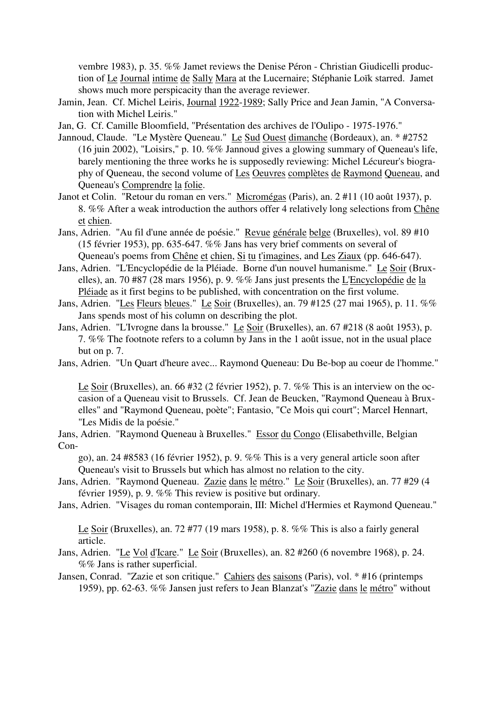vembre 1983), p. 35. %% Jamet reviews the Denise Péron - Christian Giudicelli production of Le Journal intime de Sally Mara at the Lucernaire; Stéphanie Loïk starred. Jamet shows much more perspicacity than the average reviewer.

- Jamin, Jean. Cf. Michel Leiris, Journal 1922-1989; Sally Price and Jean Jamin, "A Conversation with Michel Leiris."
- Jan, G. Cf. Camille Bloomfield, "Présentation des archives de l'Oulipo 1975-1976."
- Jannoud, Claude. "Le Mystère Queneau." Le Sud Ouest dimanche (Bordeaux), an. \* #2752 (16 juin 2002), "Loisirs," p. 10. %% Jannoud gives a glowing summary of Queneau's life, barely mentioning the three works he is supposedly reviewing: Michel Lécureur's biography of Queneau, the second volume of Les Oeuvres complètes de Raymond Queneau, and Queneau's Comprendre la folie.
- Janot et Colin. "Retour du roman en vers." Micromégas (Paris), an. 2 #11 (10 août 1937), p. 8. %% After a weak introduction the authors offer 4 relatively long selections from Chêne et chien.
- Jans, Adrien. "Au fil d'une année de poésie." Revue générale belge (Bruxelles), vol. 89 #10 (15 février 1953), pp. 635-647. %% Jans has very brief comments on several of Queneau's poems from Chêne et chien, Si tu t'imagines, and Les Ziaux (pp. 646-647).
- Jans, Adrien. "L'Encyclopédie de la Pléiade. Borne d'un nouvel humanisme." Le Soir (Bruxelles), an. 70 #87 (28 mars 1956), p. 9. %% Jans just presents the L'Encyclopédie de la Pléiade as it first begins to be published, with concentration on the first volume.
- Jans, Adrien. "Les Fleurs bleues." Le Soir (Bruxelles), an. 79 #125 (27 mai 1965), p. 11. %% Jans spends most of his column on describing the plot.
- Jans, Adrien. "L'Ivrogne dans la brousse." Le Soir (Bruxelles), an. 67 #218 (8 août 1953), p. 7. %% The footnote refers to a column by Jans in the 1 août issue, not in the usual place but on p. 7.

Jans, Adrien. "Un Quart d'heure avec... Raymond Queneau: Du Be-bop au coeur de l'homme."

Le Soir (Bruxelles), an. 66 #32 (2 février 1952), p. 7. %% This is an interview on the occasion of a Queneau visit to Brussels. Cf. Jean de Beucken, "Raymond Queneau à Bruxelles" and "Raymond Queneau, poète"; Fantasio, "Ce Mois qui court"; Marcel Hennart, "Les Midis de la poésie."

Jans, Adrien. "Raymond Queneau à Bruxelles." Essor du Congo (Elisabethville, Belgian Con-

go), an. 24 #8583 (16 février 1952), p. 9. %% This is a very general article soon after Queneau's visit to Brussels but which has almost no relation to the city.

- Jans, Adrien. "Raymond Queneau. Zazie dans le métro." Le Soir (Bruxelles), an. 77 #29 (4 février 1959), p. 9. %% This review is positive but ordinary.
- Jans, Adrien. "Visages du roman contemporain, III: Michel d'Hermies et Raymond Queneau."

Le Soir (Bruxelles), an. 72 #77 (19 mars 1958), p. 8. %% This is also a fairly general article.

- Jans, Adrien. "Le Vol d'Icare." Le Soir (Bruxelles), an. 82 #260 (6 novembre 1968), p. 24. %% Jans is rather superficial.
- Jansen, Conrad. "Zazie et son critique." Cahiers des saisons (Paris), vol. \* #16 (printemps 1959), pp. 62-63. %% Jansen just refers to Jean Blanzat's "Zazie dans le métro" without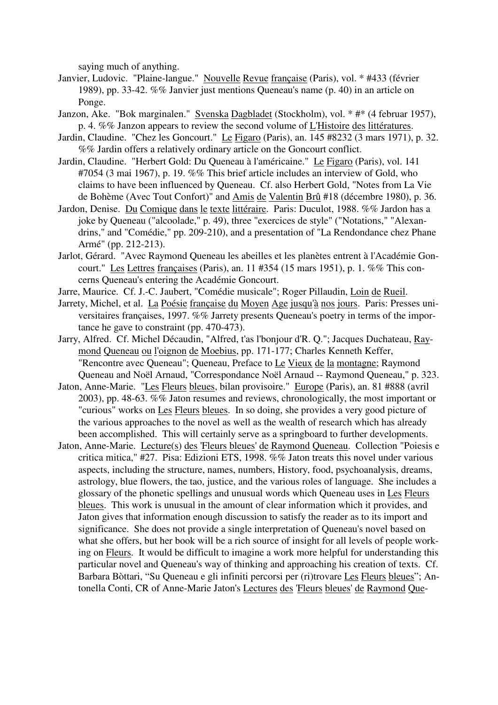saying much of anything.

- Janvier, Ludovic. "Plaine-langue." Nouvelle Revue française (Paris), vol. \* #433 (février 1989), pp. 33-42. %% Janvier just mentions Queneau's name (p. 40) in an article on Ponge.
- Janzon, Ake. "Bok marginalen." Svenska Dagbladet (Stockholm), vol. \* #\* (4 februar 1957), p. 4. %% Janzon appears to review the second volume of L'Histoire des littératures.
- Jardin, Claudine. "Chez les Goncourt." Le Figaro (Paris), an. 145 #8232 (3 mars 1971), p. 32. %% Jardin offers a relatively ordinary article on the Goncourt conflict.
- Jardin, Claudine. "Herbert Gold: Du Queneau à l'américaine." Le Figaro (Paris), vol. 141 #7054 (3 mai 1967), p. 19. %% This brief article includes an interview of Gold, who claims to have been influenced by Queneau. Cf. also Herbert Gold, "Notes from La Vie de Bohème (Avec Tout Confort)" and Amis de Valentin Brû #18 (décembre 1980), p. 36.
- Jardon, Denise. Du Comique dans le texte littéraire. Paris: Duculot, 1988. %% Jardon has a joke by Queneau ("alcoolade," p. 49), three "exercices de style" ("Notations," "Alexandrins," and "Comédie," pp. 209-210), and a presentation of "La Rendondance chez Phane Armé" (pp. 212-213).
- Jarlot, Gérard. "Avec Raymond Queneau les abeilles et les planètes entrent à l'Académie Goncourt." Les Lettres françaises (Paris), an. 11 #354 (15 mars 1951), p. 1. %% This concerns Queneau's entering the Académie Goncourt.
- Jarre, Maurice. Cf. J.-C. Jaubert, "Comédie musicale"; Roger Pillaudin, Loin de Rueil.
- Jarrety, Michel, et al. La Poésie française du Moyen Age jusqu'à nos jours. Paris: Presses universitaires françaises, 1997. %% Jarrety presents Queneau's poetry in terms of the importance he gave to constraint (pp. 470-473).
- Jarry, Alfred. Cf. Michel Décaudin, "Alfred, t'as l'bonjour d'R. Q."; Jacques Duchateau, Raymond Queneau ou l'oignon de Moebius, pp. 171-177; Charles Kenneth Keffer, "Rencontre avec Queneau"; Queneau, Preface to Le Vieux de la montagne; Raymond Queneau and Noël Arnaud, "Correspondance Noël Arnaud -- Raymond Queneau," p. 323.
- Jaton, Anne-Marie. "Les Fleurs bleues, bilan provisoire." Europe (Paris), an. 81 #888 (avril 2003), pp. 48-63. %% Jaton resumes and reviews, chronologically, the most important or "curious" works on Les Fleurs bleues. In so doing, she provides a very good picture of the various approaches to the novel as well as the wealth of research which has already been accomplished. This will certainly serve as a springboard to further developments.
- Jaton, Anne-Marie. Lecture(s) des 'Fleurs bleues' de Raymond Queneau. Collection "Poiesis e critica mitica," #27. Pisa: Edizioni ETS, 1998. %% Jaton treats this novel under various aspects, including the structure, names, numbers, History, food, psychoanalysis, dreams, astrology, blue flowers, the tao, justice, and the various roles of language. She includes a glossary of the phonetic spellings and unusual words which Queneau uses in Les Fleurs bleues. This work is unusual in the amount of clear information which it provides, and Jaton gives that information enough discussion to satisfy the reader as to its import and significance. She does not provide a single interpretation of Queneau's novel based on what she offers, but her book will be a rich source of insight for all levels of people working on Fleurs. It would be difficult to imagine a work more helpful for understanding this particular novel and Queneau's way of thinking and approaching his creation of texts. Cf. Barbara Bòttari, "Su Queneau e gli infiniti percorsi per (ri)trovare Les Fleurs bleues"; Antonella Conti, CR of Anne-Marie Jaton's Lectures des 'Fleurs bleues' de Raymond Que-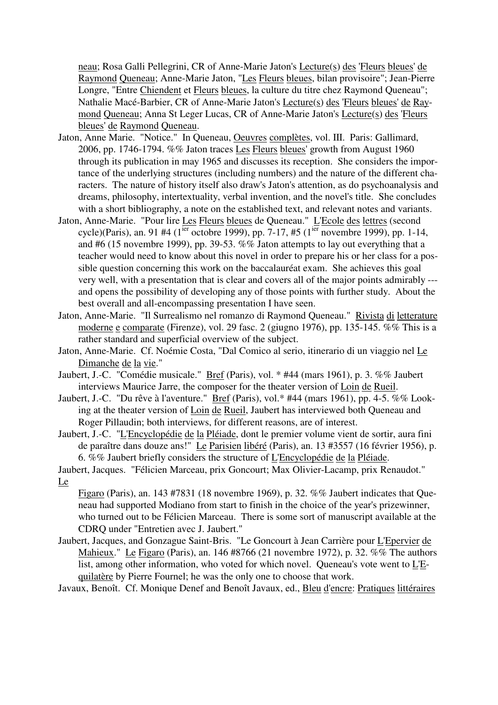neau; Rosa Galli Pellegrini, CR of Anne-Marie Jaton's Lecture(s) des 'Fleurs bleues' de Raymond Queneau; Anne-Marie Jaton, "Les Fleurs bleues, bilan provisoire"; Jean-Pierre Longre, "Entre Chiendent et Fleurs bleues, la culture du titre chez Raymond Queneau"; Nathalie Macé-Barbier, CR of Anne-Marie Jaton's Lecture(s) des 'Fleurs bleues' de Raymond Queneau; Anna St Leger Lucas, CR of Anne-Marie Jaton's Lecture(s) des 'Fleurs bleues' de Raymond Queneau.

- Jaton, Anne Marie. "Notice." In Queneau, Oeuvres complètes, vol. III. Paris: Gallimard, 2006, pp. 1746-1794. %% Jaton traces Les Fleurs bleues' growth from August 1960 through its publication in may 1965 and discusses its reception. She considers the importance of the underlying structures (including numbers) and the nature of the different characters. The nature of history itself also draw's Jaton's attention, as do psychoanalysis and dreams, philosophy, intertextuality, verbal invention, and the novel's title. She concludes with a short bibliography, a note on the established text, and relevant notes and variants.
- Jaton, Anne-Marie. "Pour lire Les Fleurs bleues de Queneau." L'Ecole des lettres (second cycle)(Paris), an. 91 #4 (1<sup>ier</sup> octobre 1999), pp. 7-17, #5 (1<sup>ier</sup> novembre 1999), pp. 1-14, and #6 (15 novembre 1999), pp. 39-53. %% Jaton attempts to lay out everything that a teacher would need to know about this novel in order to prepare his or her class for a possible question concerning this work on the baccalauréat exam. She achieves this goal very well, with a presentation that is clear and covers all of the major points admirably -- and opens the possibility of developing any of those points with further study. About the best overall and all-encompassing presentation I have seen.
- Jaton, Anne-Marie. "Il Surrealismo nel romanzo di Raymond Queneau." Rivista di letterature moderne e comparate (Firenze), vol. 29 fasc. 2 (giugno 1976), pp. 135-145. %% This is a rather standard and superficial overview of the subject.
- Jaton, Anne-Marie. Cf. Noémie Costa, "Dal Comico al serio, itinerario di un viaggio nel Le Dimanche de la vie."
- Jaubert, J.-C. "Comédie musicale." Bref (Paris), vol. \* #44 (mars 1961), p. 3. %% Jaubert interviews Maurice Jarre, the composer for the theater version of Loin de Rueil.
- Jaubert, J.-C. "Du rêve à l'aventure." Bref (Paris), vol.\* #44 (mars 1961), pp. 4-5. %% Looking at the theater version of Loin de Rueil, Jaubert has interviewed both Queneau and Roger Pillaudin; both interviews, for different reasons, are of interest.
- Jaubert, J.-C. "L'Encyclopédie de la Pléiade, dont le premier volume vient de sortir, aura fini de paraître dans douze ans!" Le Parisien libéré (Paris), an. 13 #3557 (16 février 1956), p. 6. %% Jaubert briefly considers the structure of L'Encyclopédie de la Pléiade.
- Jaubert, Jacques. "Félicien Marceau, prix Goncourt; Max Olivier-Lacamp, prix Renaudot." Le

Figaro (Paris), an. 143 #7831 (18 novembre 1969), p. 32. %% Jaubert indicates that Queneau had supported Modiano from start to finish in the choice of the year's prizewinner, who turned out to be Félicien Marceau. There is some sort of manuscript available at the CDRQ under "Entretien avec J. Jaubert."

Jaubert, Jacques, and Gonzague Saint-Bris. "Le Goncourt à Jean Carrière pour L'Epervier de Mahieux." Le Figaro (Paris), an. 146 #8766 (21 novembre 1972), p. 32. %% The authors list, among other information, who voted for which novel. Queneau's vote went to L'Equilatère by Pierre Fournel; he was the only one to choose that work.

Javaux, Benoît. Cf. Monique Denef and Benoît Javaux, ed., Bleu d'encre: Pratiques littéraires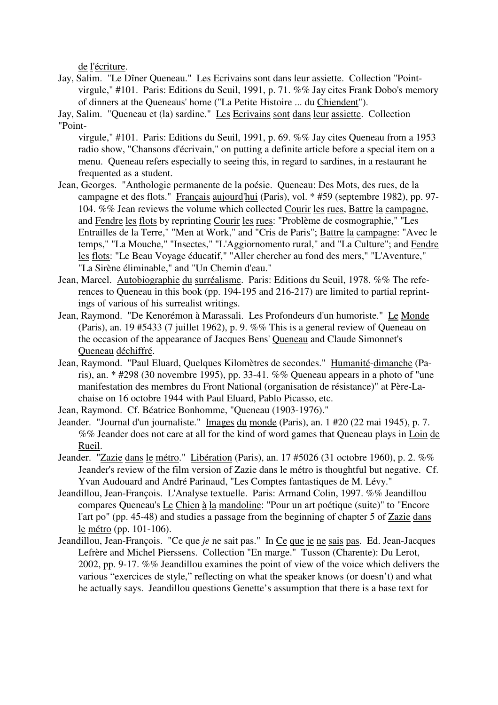de l'écriture.

Jay, Salim. "Le Dîner Queneau." Les Ecrivains sont dans leur assiette. Collection "Pointvirgule," #101. Paris: Editions du Seuil, 1991, p. 71. %% Jay cites Frank Dobo's memory of dinners at the Queneaus' home ("La Petite Histoire ... du Chiendent").

Jay, Salim. "Queneau et (la) sardine." Les Ecrivains sont dans leur assiette. Collection "Point-

virgule," #101. Paris: Editions du Seuil, 1991, p. 69. %% Jay cites Queneau from a 1953 radio show, "Chansons d'écrivain," on putting a definite article before a special item on a menu. Queneau refers especially to seeing this, in regard to sardines, in a restaurant he frequented as a student.

- Jean, Georges. "Anthologie permanente de la poésie. Queneau: Des Mots, des rues, de la campagne et des flots." Français aujourd'hui (Paris), vol. \* #59 (septembre 1982), pp. 97- 104. %% Jean reviews the volume which collected Courir les rues, Battre la campagne, and Fendre les flots by reprinting Courir les rues: "Problème de cosmographie," "Les Entrailles de la Terre," "Men at Work," and "Cris de Paris"; Battre la campagne: "Avec le temps," "La Mouche," "Insectes," "L'Aggiornomento rural," and "La Culture"; and Fendre les flots: "Le Beau Voyage éducatif," "Aller chercher au fond des mers," "L'Aventure," "La Sirène éliminable," and "Un Chemin d'eau."
- Jean, Marcel. Autobiographie du surréalisme. Paris: Editions du Seuil, 1978. %% The references to Queneau in this book (pp. 194-195 and 216-217) are limited to partial reprintings of various of his surrealist writings.
- Jean, Raymond. "De Kenorémon à Marassali. Les Profondeurs d'un humoriste." Le Monde (Paris), an. 19 #5433 (7 juillet 1962), p. 9. %% This is a general review of Queneau on the occasion of the appearance of Jacques Bens' Queneau and Claude Simonnet's Queneau déchiffré.
- Jean, Raymond. "Paul Eluard, Quelques Kilomètres de secondes." Humanité-dimanche (Paris), an. \* #298 (30 novembre 1995), pp. 33-41. %% Queneau appears in a photo of "une manifestation des membres du Front National (organisation de résistance)" at Père-Lachaise on 16 octobre 1944 with Paul Eluard, Pablo Picasso, etc.
- Jean, Raymond. Cf. Béatrice Bonhomme, "Queneau (1903-1976)."
- Jeander. "Journal d'un journaliste." Images du monde (Paris), an. 1 #20 (22 mai 1945), p. 7. %% Jeander does not care at all for the kind of word games that Queneau plays in Loin de Rueil.
- Jeander. "Zazie dans le métro." Libération (Paris), an. 17 #5026 (31 octobre 1960), p. 2. %% Jeander's review of the film version of Zazie dans le métro is thoughtful but negative. Cf. Yvan Audouard and André Parinaud, "Les Comptes fantastiques de M. Lévy."
- Jeandillou, Jean-François. L'Analyse textuelle. Paris: Armand Colin, 1997. %% Jeandillou compares Queneau's Le Chien à la mandoline: "Pour un art poétique (suite)" to "Encore l'art po" (pp. 45-48) and studies a passage from the beginning of chapter 5 of Zazie dans le métro (pp. 101-106).
- Jeandillou, Jean-François. "Ce que *je* ne sait pas." In Ce que je ne sais pas. Ed. Jean-Jacques Lefrère and Michel Pierssens. Collection "En marge." Tusson (Charente): Du Lerot, 2002, pp. 9-17. %% Jeandillou examines the point of view of the voice which delivers the various "exercices de style," reflecting on what the speaker knows (or doesn't) and what he actually says. Jeandillou questions Genette's assumption that there is a base text for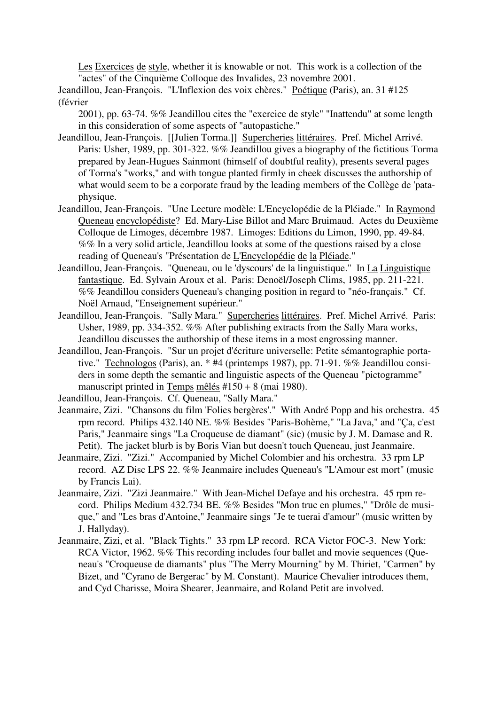Les Exercices de style, whether it is knowable or not. This work is a collection of the "actes" of the Cinquième Colloque des Invalides, 23 novembre 2001.

Jeandillou, Jean-François. "L'Inflexion des voix chères." Poétique (Paris), an. 31 #125 (février

2001), pp. 63-74. %% Jeandillou cites the "exercice de style" "Inattendu" at some length in this consideration of some aspects of "autopastiche."

- Jeandillou, Jean-François. [[Julien Torma.]] Supercheries littéraires. Pref. Michel Arrivé. Paris: Usher, 1989, pp. 301-322. %% Jeandillou gives a biography of the fictitious Torma prepared by Jean-Hugues Sainmont (himself of doubtful reality), presents several pages of Torma's "works," and with tongue planted firmly in cheek discusses the authorship of what would seem to be a corporate fraud by the leading members of the Collège de 'pataphysique.
- Jeandillou, Jean-François. "Une Lecture modèle: L'Encyclopédie de la Pléiade." In Raymond Queneau encyclopédiste? Ed. Mary-Lise Billot and Marc Bruimaud. Actes du Deuxième Colloque de Limoges, décembre 1987. Limoges: Editions du Limon, 1990, pp. 49-84. %% In a very solid article, Jeandillou looks at some of the questions raised by a close reading of Queneau's "Présentation de L'Encyclopédie de la Pléiade."
- Jeandillou, Jean-François. "Queneau, ou le 'dyscours' de la linguistique." In La Linguistique fantastique. Ed. Sylvain Aroux et al. Paris: Denoël/Joseph Clims, 1985, pp. 211-221. %% Jeandillou considers Queneau's changing position in regard to "néo-français." Cf. Noël Arnaud, "Enseignement supérieur."
- Jeandillou, Jean-François. "Sally Mara." Supercheries littéraires. Pref. Michel Arrivé. Paris: Usher, 1989, pp. 334-352. %% After publishing extracts from the Sally Mara works, Jeandillou discusses the authorship of these items in a most engrossing manner.
- Jeandillou, Jean-François. "Sur un projet d'écriture universelle: Petite sémantographie portative." Technologos (Paris), an. \* #4 (printemps 1987), pp. 71-91. %% Jeandillou considers in some depth the semantic and linguistic aspects of the Queneau "pictogramme" manuscript printed in Temps mêlés #150 + 8 (mai 1980).

Jeandillou, Jean-François. Cf. Queneau, "Sally Mara."

- Jeanmaire, Zizi. "Chansons du film 'Folies bergères'." With André Popp and his orchestra. 45 rpm record. Philips 432.140 NE. %% Besides "Paris-Bohème," "La Java," and "Ça, c'est Paris," Jeanmaire sings "La Croqueuse de diamant" (sic) (music by J. M. Damase and R. Petit). The jacket blurb is by Boris Vian but doesn't touch Queneau, just Jeanmaire.
- Jeanmaire, Zizi. "Zizi." Accompanied by Michel Colombier and his orchestra. 33 rpm LP record. AZ Disc LPS 22. %% Jeanmaire includes Queneau's "L'Amour est mort" (music by Francis Lai).
- Jeanmaire, Zizi. "Zizi Jeanmaire." With Jean-Michel Defaye and his orchestra. 45 rpm record. Philips Medium 432.734 BE. %% Besides "Mon truc en plumes," "Drôle de musique," and "Les bras d'Antoine," Jeanmaire sings "Je te tuerai d'amour" (music written by J. Hallyday).
- Jeanmaire, Zizi, et al. "Black Tights." 33 rpm LP record. RCA Victor FOC-3. New York: RCA Victor, 1962. %% This recording includes four ballet and movie sequences (Queneau's "Croqueuse de diamants" plus "The Merry Mourning" by M. Thiriet, "Carmen" by Bizet, and "Cyrano de Bergerac" by M. Constant). Maurice Chevalier introduces them, and Cyd Charisse, Moira Shearer, Jeanmaire, and Roland Petit are involved.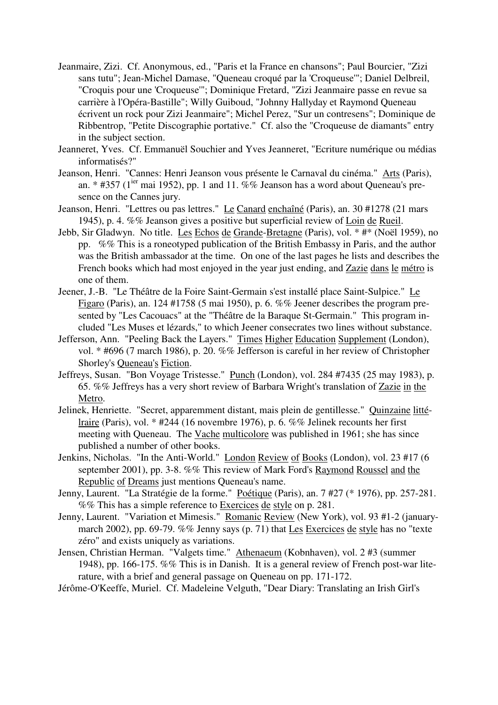- Jeanmaire, Zizi. Cf. Anonymous, ed., "Paris et la France en chansons"; Paul Bourcier, "Zizi sans tutu"; Jean-Michel Damase, "Queneau croqué par la 'Croqueuse'"; Daniel Delbreil, "Croquis pour une 'Croqueuse'"; Dominique Fretard, "Zizi Jeanmaire passe en revue sa carrière à l'Opéra-Bastille"; Willy Guiboud, "Johnny Hallyday et Raymond Queneau écrivent un rock pour Zizi Jeanmaire"; Michel Perez, "Sur un contresens"; Dominique de Ribbentrop, "Petite Discographie portative." Cf. also the "Croqueuse de diamants" entry in the subject section.
- Jeanneret, Yves. Cf. Emmanuël Souchier and Yves Jeanneret, "Ecriture numérique ou médias informatisés?"
- Jeanson, Henri. "Cannes: Henri Jeanson vous présente le Carnaval du cinéma." Arts (Paris), an. \* #357 ( $1^{ier}$  mai 1952), pp. 1 and 11. %% Jeanson has a word about Queneau's presence on the Cannes jury.
- Jeanson, Henri. "Lettres ou pas lettres." Le Canard enchaîné (Paris), an. 30 #1278 (21 mars 1945), p. 4. %% Jeanson gives a positive but superficial review of Loin de Rueil.
- Jebb, Sir Gladwyn. No title. Les Echos de Grande-Bretagne (Paris), vol. \* #\* (Noël 1959), no pp. %% This is a roneotyped publication of the British Embassy in Paris, and the author was the British ambassador at the time. On one of the last pages he lists and describes the French books which had most enjoyed in the year just ending, and Zazie dans le métro is one of them.
- Jeener, J.-B. "Le Théâtre de la Foire Saint-Germain s'est installé place Saint-Sulpice." Le Figaro (Paris), an. 124 #1758 (5 mai 1950), p. 6. %% Jeener describes the program presented by "Les Cacouacs" at the "Théâtre de la Baraque St-Germain." This program included "Les Muses et lézards," to which Jeener consecrates two lines without substance.
- Jefferson, Ann. "Peeling Back the Layers." Times Higher Education Supplement (London), vol. \* #696 (7 march 1986), p. 20. %% Jefferson is careful in her review of Christopher Shorley's Queneau's Fiction.
- Jeffreys, Susan. "Bon Voyage Tristesse." Punch (London), vol. 284 #7435 (25 may 1983), p. 65. %% Jeffreys has a very short review of Barbara Wright's translation of Zazie in the Metro.
- Jelinek, Henriette. "Secret, apparemment distant, mais plein de gentillesse." Quinzaine littélraire (Paris), vol. \* #244 (16 novembre 1976), p. 6. %% Jelinek recounts her first meeting with Queneau. The Vache multicolore was published in 1961; she has since published a number of other books.
- Jenkins, Nicholas. "In the Anti-World." London Review of Books (London), vol. 23 #17 (6 september 2001), pp. 3-8. %% This review of Mark Ford's Raymond Roussel and the Republic of Dreams just mentions Queneau's name.
- Jenny, Laurent. "La Stratégie de la forme." Poétique (Paris), an. 7 #27 (\* 1976), pp. 257-281. %% This has a simple reference to Exercices de style on p. 281.
- Jenny, Laurent. "Variation et Mimesis." Romanic Review (New York), vol. 93 #1-2 (januarymarch 2002), pp. 69-79. %% Jenny says (p. 71) that Les Exercices de style has no "texte zéro" and exists uniquely as variations.
- Jensen, Christian Herman. "Valgets time." Athenaeum (Kobnhaven), vol. 2 #3 (summer 1948), pp. 166-175. %% This is in Danish. It is a general review of French post-war literature, with a brief and general passage on Queneau on pp. 171-172.

Jérôme-O'Keeffe, Muriel. Cf. Madeleine Velguth, "Dear Diary: Translating an Irish Girl's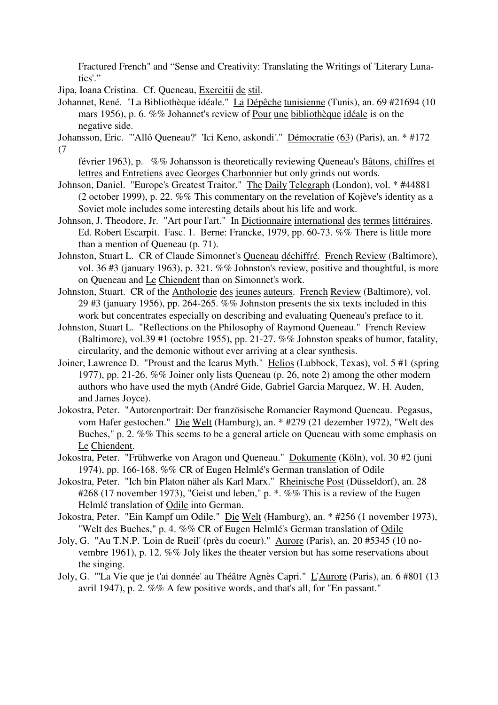Fractured French" and "Sense and Creativity: Translating the Writings of 'Literary Lunatics'."

Jipa, Ioana Cristina. Cf. Queneau, Exercitii de stil.

- Johannet, René. "La Bibliothèque idéale." La Dépêche tunisienne (Tunis), an. 69 #21694 (10 mars 1956), p. 6. %% Johannet's review of Pour une bibliothèque idéale is on the negative side.
- Johansson, Eric. "'Allô Queneau?' 'Ici Keno, askondi'." Démocratie (63) (Paris), an. \* #172 (7
	- février 1963), p. %% Johansson is theoretically reviewing Queneau's Bâtons, chiffres et lettres and Entretiens avec Georges Charbonnier but only grinds out words.
- Johnson, Daniel. "Europe's Greatest Traitor." The Daily Telegraph (London), vol. \* #44881 (2 october 1999), p. 22. %% This commentary on the revelation of Kojève's identity as a Soviet mole includes some interesting details about his life and work.
- Johnson, J. Theodore, Jr. "Art pour l'art." In Dictionnaire international des termes littéraires. Ed. Robert Escarpit. Fasc. 1. Berne: Francke, 1979, pp. 60-73. %% There is little more than a mention of Queneau (p. 71).
- Johnston, Stuart L. CR of Claude Simonnet's Queneau déchiffré. French Review (Baltimore), vol. 36 #3 (january 1963), p. 321. %% Johnston's review, positive and thoughtful, is more on Queneau and Le Chiendent than on Simonnet's work.
- Johnston, Stuart. CR of the Anthologie des jeunes auteurs. French Review (Baltimore), vol. 29 #3 (january 1956), pp. 264-265. %% Johnston presents the six texts included in this work but concentrates especially on describing and evaluating Queneau's preface to it.
- Johnston, Stuart L. "Reflections on the Philosophy of Raymond Queneau." French Review (Baltimore), vol.39 #1 (octobre 1955), pp. 21-27. %% Johnston speaks of humor, fatality, circularity, and the demonic without ever arriving at a clear synthesis.
- Joiner, Lawrence D. "Proust and the Icarus Myth." Helios (Lubbock, Texas), vol. 5 #1 (spring 1977), pp. 21-26. %% Joiner only lists Queneau (p. 26, note 2) among the other modern authors who have used the myth (André Gide, Gabriel Garcia Marquez, W. H. Auden, and James Joyce).
- Jokostra, Peter. "Autorenportrait: Der französische Romancier Raymond Queneau. Pegasus, vom Hafer gestochen." Die Welt (Hamburg), an. \* #279 (21 dezember 1972), "Welt des Buches," p. 2. %% This seems to be a general article on Queneau with some emphasis on Le Chiendent.
- Jokostra, Peter. "Frühwerke von Aragon und Queneau." Dokumente (Köln), vol. 30 #2 (juni 1974), pp. 166-168. %% CR of Eugen Helmlé's German translation of Odile
- Jokostra, Peter. "Ich bin Platon näher als Karl Marx." Rheinische Post (Düsseldorf), an. 28 #268 (17 november 1973), "Geist und leben," p. \*. %% This is a review of the Eugen Helmlé translation of Odile into German.
- Jokostra, Peter. "Ein Kampf um Odile." Die Welt (Hamburg), an. \* #256 (1 november 1973), "Welt des Buches," p. 4. %% CR of Eugen Helmlé's German translation of Odile
- Joly, G. "Au T.N.P. 'Loin de Rueil' (près du coeur)." Aurore (Paris), an. 20 #5345 (10 novembre 1961), p. 12. %% Joly likes the theater version but has some reservations about the singing.
- Joly, G. "'La Vie que je t'ai donnée' au Théâtre Agnès Capri." L'Aurore (Paris), an. 6 #801 (13 avril 1947), p. 2. %% A few positive words, and that's all, for "En passant."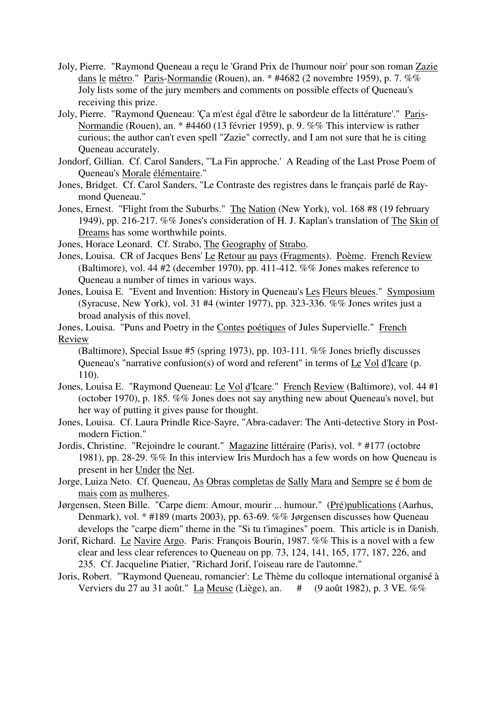- Joly, Pierre. "Raymond Queneau a reçu le 'Grand Prix de l'humour noir' pour son roman Zazie dans le métro." Paris-Normandie (Rouen), an. \* #4682 (2 novembre 1959), p. 7. %% Joly lists some of the jury members and comments on possible effects of Queneau's receiving this prize.
- Joly, Pierre. "Raymond Queneau: 'Ça m'est égal d'être le sabordeur de la littérature'." Paris-Normandie (Rouen), an. \* #4460 (13 février 1959), p. 9. %% This interview is rather curious; the author can't even spell "Zazie" correctly, and I am not sure that he is citing Queneau accurately.
- Jondorf, Gillian. Cf. Carol Sanders, "'La Fin approche.' A Reading of the Last Prose Poem of Queneau's Morale élémentaire."
- Jones, Bridget. Cf. Carol Sanders, "Le Contraste des registres dans le français parlé de Raymond Queneau."
- Jones, Ernest. "Flight from the Suburbs." The Nation (New York), vol. 168 #8 (19 february 1949), pp. 216-217. %% Jones's consideration of H. J. Kaplan's translation of The Skin of Dreams has some worthwhile points.
- Jones, Horace Leonard. Cf. Strabo, The Geography of Strabo.
- Jones, Louisa. CR of Jacques Bens' Le Retour au pays (Fragments). Poème. French Review (Baltimore), vol. 44 #2 (december 1970), pp. 411-412. %% Jones makes reference to Queneau a number of times in various ways.
- Jones, Louisa E. "Event and Invention: History in Queneau's Les Fleurs bleues." Symposium (Syracuse, New York), vol. 31 #4 (winter 1977), pp. 323-336. %% Jones writes just a broad analysis of this novel.
- Jones, Louisa. "Puns and Poetry in the Contes poétiques of Jules Supervielle." French Review

(Baltimore), Special Issue #5 (spring 1973), pp. 103-111. %% Jones briefly discusses Queneau's "narrative confusion(s) of word and referent" in terms of Le Vol d'Icare (p. 110).

- Jones, Louisa E. "Raymond Queneau: Le Vol d'Icare." French Review (Baltimore), vol. 44 #1 (october 1970), p. 185. %% Jones does not say anything new about Queneau's novel, but her way of putting it gives pause for thought.
- Jones, Louisa. Cf. Laura Prindle Rice-Sayre, "Abra-cadaver: The Anti-detective Story in Postmodern Fiction."
- Jordis, Christine. "Rejoindre le courant." Magazine littéraire (Paris), vol. \* #177 (octobre 1981), pp. 28-29. %% In this interview Iris Murdoch has a few words on how Queneau is present in her Under the Net.
- Jorge, Luiza Neto. Cf. Queneau, As Obras completas de Sally Mara and Sempre se é bom de mais com as mulheres.
- Jørgensen, Steen Bille. "Carpe diem: Amour, mourir ... humour." (Pré)publications (Aarhus, Denmark), vol. \* #189 (marts 2003), pp. 63-69. %% Jørgensen discusses how Queneau develops the "carpe diem" theme in the "Si tu t'imagines" poem. This article is in Danish.
- Jorif, Richard. Le Navire Argo. Paris: François Bourin, 1987. %% This is a novel with a few clear and less clear references to Queneau on pp. 73, 124, 141, 165, 177, 187, 226, and 235. Cf. Jacqueline Piatier, "Richard Jorif, l'oiseau rare de l'automne."
- Joris, Robert. "'Raymond Queneau, romancier': Le Thème du colloque international organisé à Verviers du 27 au 31 août." La Meuse (Liège), an. # (9 août 1982), p. 3 VE. %%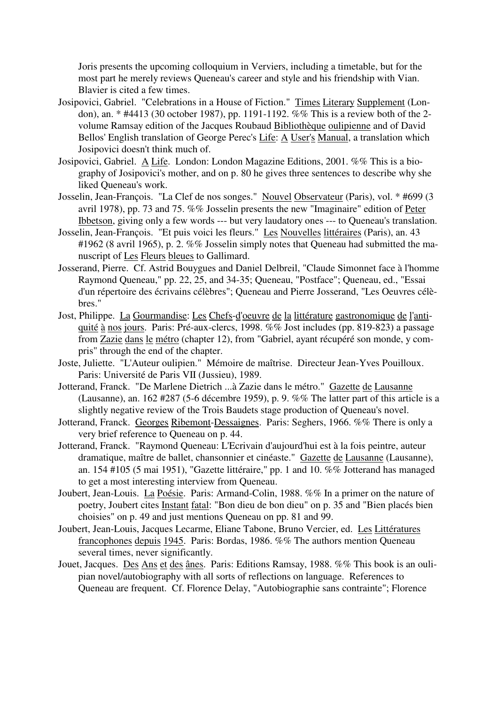Joris presents the upcoming colloquium in Verviers, including a timetable, but for the most part he merely reviews Queneau's career and style and his friendship with Vian. Blavier is cited a few times.

- Josipovici, Gabriel. "Celebrations in a House of Fiction." Times Literary Supplement (London), an. \* #4413 (30 october 1987), pp. 1191-1192. %% This is a review both of the 2 volume Ramsay edition of the Jacques Roubaud Bibliothèque oulipienne and of David Bellos' English translation of George Perec's Life: A User's Manual, a translation which Josipovici doesn't think much of.
- Josipovici, Gabriel. A Life. London: London Magazine Editions, 2001. %% This is a biography of Josipovici's mother, and on p. 80 he gives three sentences to describe why she liked Queneau's work.
- Josselin, Jean-François. "La Clef de nos songes." Nouvel Observateur (Paris), vol. \* #699 (3 avril 1978), pp. 73 and 75. %% Josselin presents the new "Imaginaire" edition of Peter Ibbetson, giving only a few words --- but very laudatory ones --- to Queneau's translation.
- Josselin, Jean-François. "Et puis voici les fleurs." Les Nouvelles littéraires (Paris), an. 43 #1962 (8 avril 1965), p. 2. %% Josselin simply notes that Queneau had submitted the manuscript of Les Fleurs bleues to Gallimard.
- Josserand, Pierre. Cf. Astrid Bouygues and Daniel Delbreil, "Claude Simonnet face à l'homme Raymond Queneau," pp. 22, 25, and 34-35; Queneau, "Postface"; Queneau, ed., "Essai d'un répertoire des écrivains célèbres"; Queneau and Pierre Josserand, "Les Oeuvres célèbres."
- Jost, Philippe. La Gourmandise: Les Chefs-d'oeuvre de la littérature gastronomique de l'antiquité à nos jours. Paris: Pré-aux-clercs, 1998. %% Jost includes (pp. 819-823) a passage from Zazie dans le métro (chapter 12), from "Gabriel, ayant récupéré son monde, y compris" through the end of the chapter.
- Joste, Juliette. "L'Auteur oulipien." Mémoire de maîtrise. Directeur Jean-Yves Pouilloux. Paris: Université de Paris VII (Jussieu), 1989.
- Jotterand, Franck. "De Marlene Dietrich ...à Zazie dans le métro." Gazette de Lausanne (Lausanne), an. 162 #287 (5-6 décembre 1959), p. 9. %% The latter part of this article is a slightly negative review of the Trois Baudets stage production of Queneau's novel.
- Jotterand, Franck. Georges Ribemont-Dessaignes. Paris: Seghers, 1966. %% There is only a very brief reference to Queneau on p. 44.
- Jotterand, Franck. "Raymond Queneau: L'Ecrivain d'aujourd'hui est à la fois peintre, auteur dramatique, maître de ballet, chansonnier et cinéaste." Gazette de Lausanne (Lausanne), an. 154 #105 (5 mai 1951), "Gazette littéraire," pp. 1 and 10. %% Jotterand has managed to get a most interesting interview from Queneau.
- Joubert, Jean-Louis. La Poésie. Paris: Armand-Colin, 1988. %% In a primer on the nature of poetry, Joubert cites Instant fatal: "Bon dieu de bon dieu" on p. 35 and "Bien placés bien choisies" on p. 49 and just mentions Queneau on pp. 81 and 99.
- Joubert, Jean-Louis, Jacques Lecarme, Eliane Tabone, Bruno Vercier, ed. Les Littératures francophones depuis 1945. Paris: Bordas, 1986. %% The authors mention Queneau several times, never significantly.
- Jouet, Jacques. Des Ans et des ânes. Paris: Editions Ramsay, 1988. %% This book is an oulipian novel/autobiography with all sorts of reflections on language. References to Queneau are frequent. Cf. Florence Delay, "Autobiographie sans contrainte"; Florence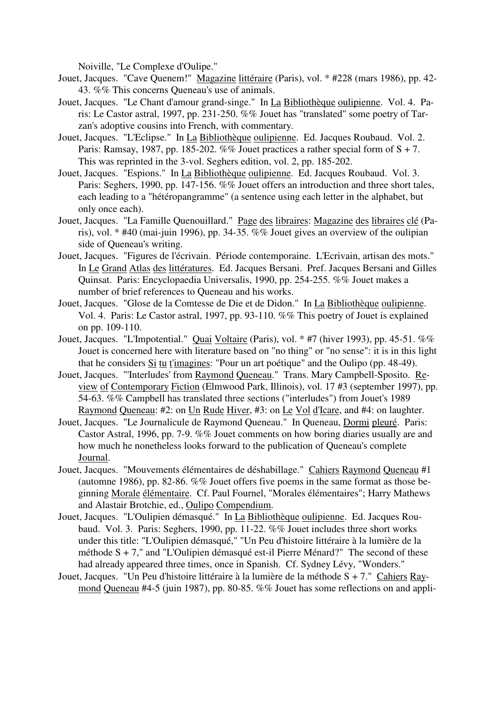Noiville, "Le Complexe d'Oulipe."

- Jouet, Jacques. "Cave Quenem!" Magazine littéraire (Paris), vol. \* #228 (mars 1986), pp. 42- 43. %% This concerns Queneau's use of animals.
- Jouet, Jacques. "Le Chant d'amour grand-singe." In La Bibliothèque oulipienne. Vol. 4. Paris: Le Castor astral, 1997, pp. 231-250. %% Jouet has "translated" some poetry of Tarzan's adoptive cousins into French, with commentary.
- Jouet, Jacques. "L'Eclipse." In La Bibliothèque oulipienne. Ed. Jacques Roubaud. Vol. 2. Paris: Ramsay, 1987, pp. 185-202. %% Jouet practices a rather special form of  $S + 7$ . This was reprinted in the 3-vol. Seghers edition, vol. 2, pp. 185-202.
- Jouet, Jacques. "Espions." In La Bibliothèque oulipienne. Ed. Jacques Roubaud. Vol. 3. Paris: Seghers, 1990, pp. 147-156. %% Jouet offers an introduction and three short tales, each leading to a "hétéropangramme" (a sentence using each letter in the alphabet, but only once each).
- Jouet, Jacques. "La Famille Quenouillard." Page des libraires: Magazine des libraires clé (Paris), vol. \* #40 (mai-juin 1996), pp. 34-35. %% Jouet gives an overview of the oulipian side of Queneau's writing.
- Jouet, Jacques. "Figures de l'écrivain. Période contemporaine. L'Ecrivain, artisan des mots." In Le Grand Atlas des littératures. Ed. Jacques Bersani. Pref. Jacques Bersani and Gilles Quinsat. Paris: Encyclopaedia Universalis, 1990, pp. 254-255. %% Jouet makes a number of brief references to Queneau and his works.
- Jouet, Jacques. "Glose de la Comtesse de Die et de Didon." In La Bibliothèque oulipienne. Vol. 4. Paris: Le Castor astral, 1997, pp. 93-110. %% This poetry of Jouet is explained on pp. 109-110.
- Jouet, Jacques. "L'Impotential." Quai Voltaire (Paris), vol. \* #7 (hiver 1993), pp. 45-51. %% Jouet is concerned here with literature based on "no thing" or "no sense": it is in this light that he considers Si tu t'imagines: "Pour un art poétique" and the Oulipo (pp. 48-49).
- Jouet, Jacques. "'Interludes' from Raymond Queneau." Trans. Mary Campbell-Sposito. Review of Contemporary Fiction (Elmwood Park, Illinois), vol. 17 #3 (september 1997), pp. 54-63. %% Campbell has translated three sections ("interludes") from Jouet's 1989 Raymond Queneau: #2: on Un Rude Hiver, #3: on Le Vol d'Icare, and #4: on laughter.
- Jouet, Jacques. "Le Journalicule de Raymond Queneau." In Queneau, Dormi pleuré. Paris: Castor Astral, 1996, pp. 7-9. %% Jouet comments on how boring diaries usually are and how much he nonetheless looks forward to the publication of Queneau's complete Journal.
- Jouet, Jacques. "Mouvements élémentaires de déshabillage." Cahiers Raymond Queneau #1 (automne 1986), pp. 82-86. %% Jouet offers five poems in the same format as those beginning Morale élémentaire. Cf. Paul Fournel, "Morales élémentaires"; Harry Mathews and Alastair Brotchie, ed., Oulipo Compendium.
- Jouet, Jacques. "L'Oulipien démasqué." In La Bibliothèque oulipienne. Ed. Jacques Roubaud. Vol. 3. Paris: Seghers, 1990, pp. 11-22. %% Jouet includes three short works under this title: "L'Oulipien démasqué," "Un Peu d'histoire littéraire à la lumière de la méthode S + 7," and "L'Oulipien démasqué est-il Pierre Ménard?" The second of these had already appeared three times, once in Spanish. Cf. Sydney Lévy, "Wonders."
- Jouet, Jacques. "Un Peu d'histoire littéraire à la lumière de la méthode S + 7." Cahiers Raymond Queneau #4-5 (juin 1987), pp. 80-85. %% Jouet has some reflections on and appli-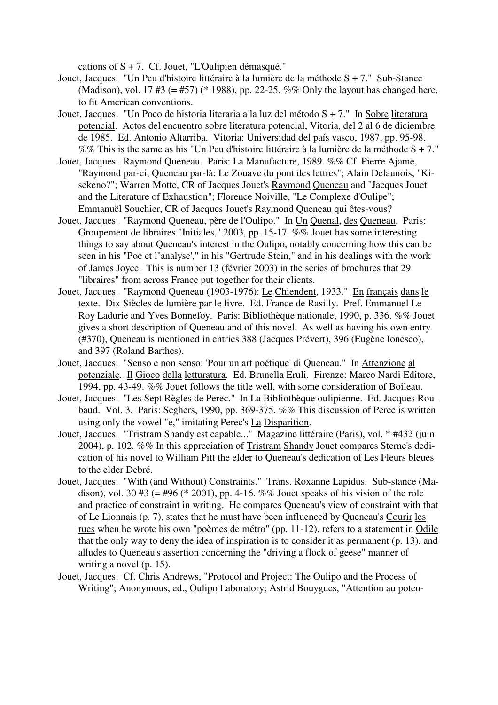cations of  $S + 7$ . Cf. Jouet, "L'Oulipien démasqué."

- Jouet, Jacques. "Un Peu d'histoire littéraire à la lumière de la méthode S + 7." Sub-Stance (Madison), vol. 17 #3 (= #57) (\* 1988), pp. 22-25. %% Only the layout has changed here, to fit American conventions.
- Jouet, Jacques. "Un Poco de historia literaria a la luz del método S + 7." In Sobre literatura potencial. Actos del encuentro sobre literatura potencial, Vitoria, del 2 al 6 de diciembre de 1985. Ed. Antonio Altarriba. Vitoria: Universidad del país vasco, 1987, pp. 95-98. %% This is the same as his "Un Peu d'histoire littéraire à la lumière de la méthode  $S + 7$ ."
- Jouet, Jacques. Raymond Queneau. Paris: La Manufacture, 1989. %% Cf. Pierre Ajame, "Raymond par-ci, Queneau par-là: Le Zouave du pont des lettres"; Alain Delaunois, "Kisekeno?"; Warren Motte, CR of Jacques Jouet's Raymond Queneau and "Jacques Jouet and the Literature of Exhaustion"; Florence Noiville, "Le Complexe d'Oulipe"; Emmanuël Souchier, CR of Jacques Jouet's Raymond Queneau qui êtes-vous?
- Jouet, Jacques. "Raymond Queneau, père de l'Oulipo." In Un Quenal, des Queneau. Paris: Groupement de libraires "Initiales," 2003, pp. 15-17. %% Jouet has some interesting things to say about Queneau's interest in the Oulipo, notably concerning how this can be seen in his "Poe et l''analyse'," in his "Gertrude Stein," and in his dealings with the work of James Joyce. This is number 13 (février 2003) in the series of brochures that 29 "libraires" from across France put together for their clients.
- Jouet, Jacques. "Raymond Queneau (1903-1976): Le Chiendent, 1933." En français dans le texte. Dix Siècles de lumière par le livre. Ed. France de Rasilly. Pref. Emmanuel Le Roy Ladurie and Yves Bonnefoy. Paris: Bibliothèque nationale, 1990, p. 336. %% Jouet gives a short description of Queneau and of this novel. As well as having his own entry (#370), Queneau is mentioned in entries 388 (Jacques Prévert), 396 (Eugène Ionesco), and 397 (Roland Barthes).
- Jouet, Jacques. "Senso e non senso: 'Pour un art poétique' di Queneau." In Attenzione al potenziale. Il Gioco della letturatura. Ed. Brunella Eruli. Firenze: Marco Nardi Editore, 1994, pp. 43-49. %% Jouet follows the title well, with some consideration of Boileau.
- Jouet, Jacques. "Les Sept Règles de Perec." In La Bibliothèque oulipienne. Ed. Jacques Roubaud. Vol. 3. Paris: Seghers, 1990, pp. 369-375. %% This discussion of Perec is written using only the vowel "e," imitating Perec's La Disparition.
- Jouet, Jacques. "Tristram Shandy est capable..." Magazine littéraire (Paris), vol. \* #432 (juin 2004), p. 102. %% In this appreciation of Tristram Shandy Jouet compares Sterne's dedication of his novel to William Pitt the elder to Queneau's dedication of Les Fleurs bleues to the elder Debré.
- Jouet, Jacques. "With (and Without) Constraints." Trans. Roxanne Lapidus. Sub-stance (Madison), vol. 30 #3 (= #96 (\* 2001), pp. 4-16. %% Jouet speaks of his vision of the role and practice of constraint in writing. He compares Queneau's view of constraint with that of Le Lionnais (p. 7), states that he must have been influenced by Queneau's Courir les rues when he wrote his own "poèmes de métro" (pp. 11-12), refers to a statement in Odile that the only way to deny the idea of inspiration is to consider it as permanent (p. 13), and alludes to Queneau's assertion concerning the "driving a flock of geese" manner of writing a novel (p. 15).
- Jouet, Jacques. Cf. Chris Andrews, "Protocol and Project: The Oulipo and the Process of Writing"; Anonymous, ed., Oulipo Laboratory; Astrid Bouygues, "Attention au poten-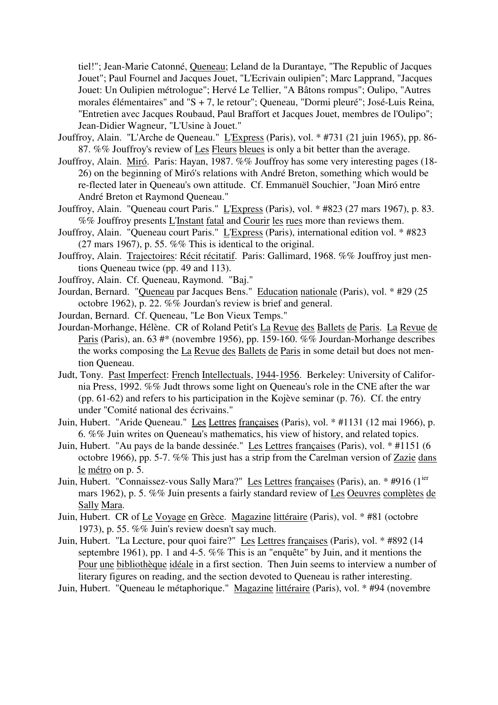tiel!"; Jean-Marie Catonné, Queneau; Leland de la Durantaye, "The Republic of Jacques Jouet"; Paul Fournel and Jacques Jouet, "L'Ecrivain oulipien"; Marc Lapprand, "Jacques Jouet: Un Oulipien métrologue"; Hervé Le Tellier, "A Bâtons rompus"; Oulipo, "Autres morales élémentaires" and "S + 7, le retour"; Queneau, "Dormi pleuré"; José-Luis Reina, "Entretien avec Jacques Roubaud, Paul Braffort et Jacques Jouet, membres de l'Oulipo"; Jean-Didier Wagneur, "L'Usine à Jouet."

- Jouffroy, Alain. "L'Arche de Queneau." L'Express (Paris), vol. \* #731 (21 juin 1965), pp. 86- 87. %% Jouffroy's review of Les Fleurs bleues is only a bit better than the average.
- Jouffroy, Alain. Miró. Paris: Hayan, 1987. %% Jouffroy has some very interesting pages (18- 26) on the beginning of Miró's relations with André Breton, something which would be re-flected later in Queneau's own attitude. Cf. Emmanuël Souchier, "Joan Miró entre André Breton et Raymond Queneau."
- Jouffroy, Alain. "Queneau court Paris." L'Express (Paris), vol. \* #823 (27 mars 1967), p. 83. %% Jouffroy presents L'Instant fatal and Courir les rues more than reviews them.
- Jouffroy, Alain. "Queneau court Paris." L'Express (Paris), international edition vol. \* #823 (27 mars 1967), p. 55.  $\%$ % This is identical to the original.
- Jouffroy, Alain. Trajectoires: Récit récitatif. Paris: Gallimard, 1968. %% Jouffroy just mentions Queneau twice (pp. 49 and 113).
- Jouffroy, Alain. Cf. Queneau, Raymond. "Baj."
- Jourdan, Bernard. "Queneau par Jacques Bens." Education nationale (Paris), vol. \* #29 (25 octobre 1962), p. 22. %% Jourdan's review is brief and general.
- Jourdan, Bernard. Cf. Queneau, "Le Bon Vieux Temps."
- Jourdan-Morhange, Hélène. CR of Roland Petit's La Revue des Ballets de Paris. La Revue de Paris (Paris), an. 63 #\* (novembre 1956), pp. 159-160. %% Jourdan-Morhange describes the works composing the La Revue des Ballets de Paris in some detail but does not mention Queneau.
- Judt, Tony. Past Imperfect: French Intellectuals, 1944-1956. Berkeley: University of California Press, 1992. %% Judt throws some light on Queneau's role in the CNE after the war (pp. 61-62) and refers to his participation in the Kojève seminar (p. 76). Cf. the entry under "Comité national des écrivains."
- Juin, Hubert. "Aride Queneau." Les Lettres françaises (Paris), vol. \* #1131 (12 mai 1966), p. 6. %% Juin writes on Queneau's mathematics, his view of history, and related topics.
- Juin, Hubert. "Au pays de la bande dessinée." Les Lettres françaises (Paris), vol. \* #1151 (6 octobre 1966), pp. 5-7. %% This just has a strip from the Carelman version of Zazie dans le métro on p. 5.
- Juin, Hubert. "Connaissez-vous Sally Mara?" Les Lettres françaises (Paris), an. \* #916 (1<sup>ier</sup> mars 1962), p. 5. %% Juin presents a fairly standard review of Les Oeuvres complètes de Sally Mara.
- Juin, Hubert. CR of Le Voyage en Grèce. Magazine littéraire (Paris), vol. \* #81 (octobre 1973), p. 55. %% Juin's review doesn't say much.
- Juin, Hubert. "La Lecture, pour quoi faire?" Les Lettres françaises (Paris), vol. \* #892 (14) septembre 1961), pp. 1 and 4-5. %% This is an "enquête" by Juin, and it mentions the Pour une bibliothèque idéale in a first section. Then Juin seems to interview a number of literary figures on reading, and the section devoted to Queneau is rather interesting.
- Juin, Hubert. "Queneau le métaphorique." Magazine littéraire (Paris), vol. \* #94 (novembre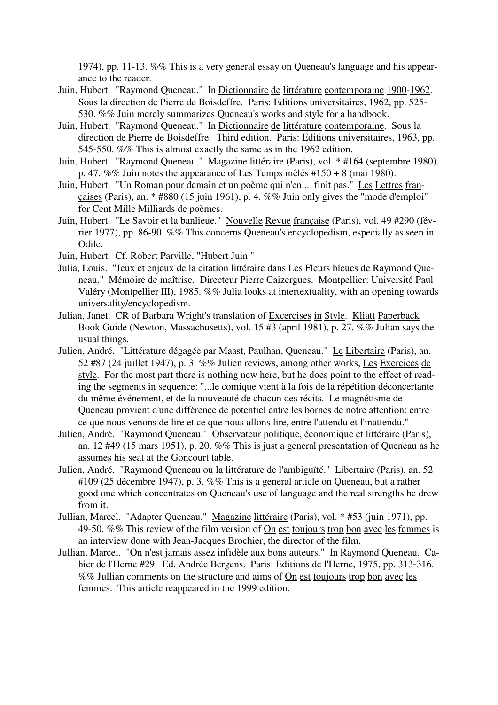1974), pp. 11-13. %% This is a very general essay on Queneau's language and his appearance to the reader.

- Juin, Hubert. "Raymond Queneau." In Dictionnaire de littérature contemporaine 1900-1962. Sous la direction de Pierre de Boisdeffre. Paris: Editions universitaires, 1962, pp. 525- 530. %% Juin merely summarizes Queneau's works and style for a handbook.
- Juin, Hubert. "Raymond Queneau." In Dictionnaire de littérature contemporaine. Sous la direction de Pierre de Boisdeffre. Third edition. Paris: Editions universitaires, 1963, pp. 545-550. %% This is almost exactly the same as in the 1962 edition.
- Juin, Hubert. "Raymond Queneau." Magazine littéraire (Paris), vol. \* #164 (septembre 1980), p. 47. %% Juin notes the appearance of Les Temps mêlés  $\#150 + 8$  (mai 1980).
- Juin, Hubert. "Un Roman pour demain et un poème qui n'en... finit pas." Les Lettres françaises (Paris), an. \* #880 (15 juin 1961), p. 4. %% Juin only gives the "mode d'emploi" for Cent Mille Milliards de poèmes.
- Juin, Hubert. "Le Savoir et la banlieue." Nouvelle Revue française (Paris), vol. 49 #290 (février 1977), pp. 86-90. %% This concerns Queneau's encyclopedism, especially as seen in Odile.

Juin, Hubert. Cf. Robert Parville, "Hubert Juin."

- Julia, Louis. "Jeux et enjeux de la citation littéraire dans Les Fleurs bleues de Raymond Queneau." Mémoire de maîtrise. Directeur Pierre Caizergues. Montpellier: Université Paul Valéry (Montpellier III), 1985. %% Julia looks at intertextuality, with an opening towards universality/encyclopedism.
- Julian, Janet. CR of Barbara Wright's translation of Excercises in Style. Kliatt Paperback Book Guide (Newton, Massachusetts), vol. 15 #3 (april 1981), p. 27. %% Julian says the usual things.
- Julien, André. "Littérature dégagée par Maast, Paulhan, Queneau." Le Libertaire (Paris), an. 52 #87 (24 juillet 1947), p. 3. %% Julien reviews, among other works, Les Exercices de style. For the most part there is nothing new here, but he does point to the effect of reading the segments in sequence: "...le comique vient à la fois de la répétition déconcertante du même événement, et de la nouveauté de chacun des récits. Le magnétisme de Queneau provient d'une différence de potentiel entre les bornes de notre attention: entre ce que nous venons de lire et ce que nous allons lire, entre l'attendu et l'inattendu."
- Julien, André. "Raymond Queneau." Observateur politique, économique et littéraire (Paris), an. 12 #49 (15 mars 1951), p. 20. %% This is just a general presentation of Queneau as he assumes his seat at the Goncourt table.
- Julien, André. "Raymond Queneau ou la littérature de l'ambiguïté." Libertaire (Paris), an. 52 #109 (25 décembre 1947), p. 3. %% This is a general article on Queneau, but a rather good one which concentrates on Queneau's use of language and the real strengths he drew from it.
- Jullian, Marcel. "Adapter Queneau." Magazine littéraire (Paris), vol. \* #53 (juin 1971), pp. 49-50. %% This review of the film version of On est toujours trop bon avec les femmes is an interview done with Jean-Jacques Brochier, the director of the film.
- Jullian, Marcel. "On n'est jamais assez infidèle aux bons auteurs." In Raymond Queneau. Cahier de l'Herne #29. Ed. Andrée Bergens. Paris: Editions de l'Herne, 1975, pp. 313-316. %% Jullian comments on the structure and aims of On est toujours trop bon avec les femmes. This article reappeared in the 1999 edition.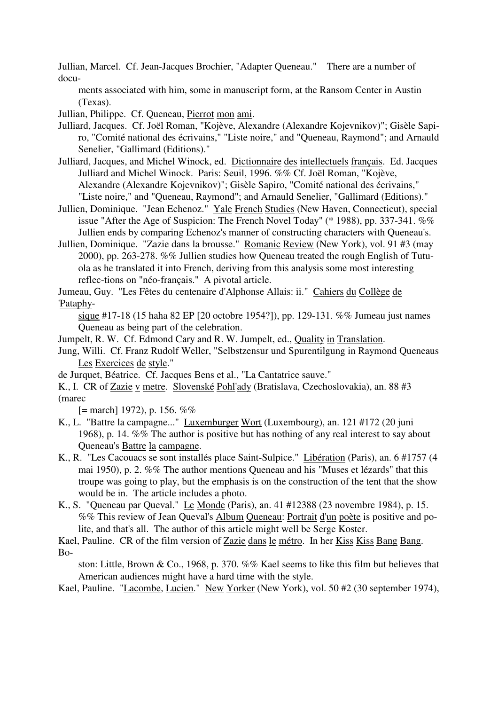Jullian, Marcel. Cf. Jean-Jacques Brochier, "Adapter Queneau." There are a number of docu-

ments associated with him, some in manuscript form, at the Ransom Center in Austin (Texas).

Jullian, Philippe. Cf. Queneau, Pierrot mon ami.

Julliard, Jacques. Cf. Joël Roman, "Kojève, Alexandre (Alexandre Kojevnikov)"; Gisèle Sapiro, "Comité national des écrivains," "Liste noire," and "Queneau, Raymond"; and Arnauld Senelier, "Gallimard (Editions)."

Julliard, Jacques, and Michel Winock, ed. Dictionnaire des intellectuels français. Ed. Jacques Julliard and Michel Winock. Paris: Seuil, 1996. %% Cf. Joël Roman, "Kojève, Alexandre (Alexandre Kojevnikov)"; Gisèle Sapiro, "Comité national des écrivains," "Liste noire," and "Queneau, Raymond"; and Arnauld Senelier, "Gallimard (Editions)."

- Jullien, Dominique. "Jean Echenoz." Yale French Studies (New Haven, Connecticut), special issue "After the Age of Suspicion: The French Novel Today" (\* 1988), pp. 337-341. %% Jullien ends by comparing Echenoz's manner of constructing characters with Queneau's.
- Jullien, Dominique. "Zazie dans la brousse." Romanic Review (New York), vol. 91 #3 (may 2000), pp. 263-278. %% Jullien studies how Queneau treated the rough English of Tutuola as he translated it into French, deriving from this analysis some most interesting reflec-tions on "néo-français." A pivotal article.

Jumeau, Guy. "Les Fêtes du centenaire d'Alphonse Allais: ii." Cahiers du Collège de 'Pataphy-

sique #17-18 (15 haha 82 EP [20 octobre 1954?]), pp. 129-131. %% Jumeau just names Queneau as being part of the celebration.

Jumpelt, R. W. Cf. Edmond Cary and R. W. Jumpelt, ed., Quality in Translation.

Jung, Willi. Cf. Franz Rudolf Weller, "Selbstzensur und Spurentilgung in Raymond Queneaus Les Exercices de style."

de Jurquet, Béatrice. Cf. Jacques Bens et al., "La Cantatrice sauve."

K., I. CR of Zazie v metre. Slovenské Pohl'ady (Bratislava, Czechoslovakia), an. 88 #3 (marec

 $[=$  march] 1972), p. 156. %%

- K., L. "Battre la campagne..." Luxemburger Wort (Luxembourg), an. 121 #172 (20 juni 1968), p. 14. %% The author is positive but has nothing of any real interest to say about Queneau's Battre la campagne.
- K., R. "Les Cacouacs se sont installés place Saint-Sulpice." Libération (Paris), an. 6 #1757 (4 mai 1950), p. 2. %% The author mentions Queneau and his "Muses et lézards" that this troupe was going to play, but the emphasis is on the construction of the tent that the show would be in. The article includes a photo.
- K., S. "Queneau par Queval." Le Monde (Paris), an. 41 #12388 (23 novembre 1984), p. 15. %% This review of Jean Queval's Album Queneau: Portrait d'un poète is positive and polite, and that's all. The author of this article might well be Serge Koster.

Kael, Pauline. CR of the film version of Zazie dans le métro. In her Kiss Kiss Bang Bang. Bo-

ston: Little, Brown & Co., 1968, p. 370. %% Kael seems to like this film but believes that American audiences might have a hard time with the style.

Kael, Pauline. "Lacombe, Lucien." New Yorker (New York), vol. 50 #2 (30 september 1974),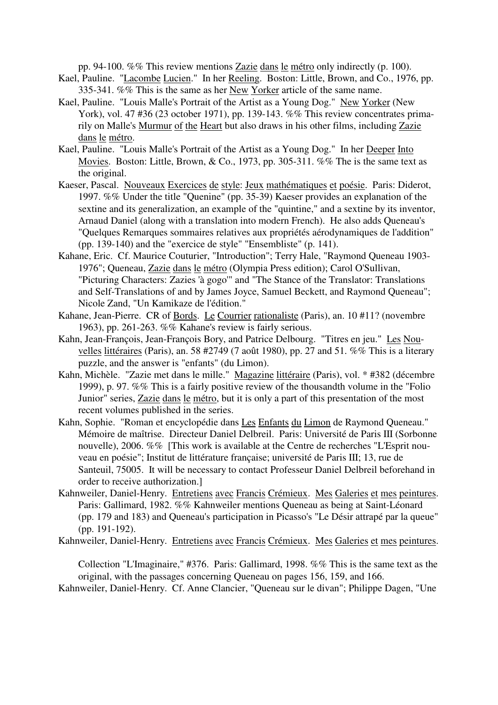pp. 94-100. %% This review mentions Zazie dans le métro only indirectly (p. 100).

- Kael, Pauline. "Lacombe Lucien." In her Reeling. Boston: Little, Brown, and Co., 1976, pp. 335-341. %% This is the same as her New Yorker article of the same name.
- Kael, Pauline. "Louis Malle's Portrait of the Artist as a Young Dog." New Yorker (New York), vol. 47 #36 (23 october 1971), pp. 139-143. %% This review concentrates primarily on Malle's Murmur of the Heart but also draws in his other films, including Zazie dans le métro.
- Kael, Pauline. "Louis Malle's Portrait of the Artist as a Young Dog." In her Deeper Into Movies. Boston: Little, Brown, & Co., 1973, pp. 305-311.  $\%$ % The is the same text as the original.
- Kaeser, Pascal. Nouveaux Exercices de style: Jeux mathématiques et poésie. Paris: Diderot, 1997. %% Under the title "Quenine" (pp. 35-39) Kaeser provides an explanation of the sextine and its generalization, an example of the "quintine," and a sextine by its inventor, Arnaud Daniel (along with a translation into modern French). He also adds Queneau's "Quelques Remarques sommaires relatives aux propriétés aérodynamiques de l'addition" (pp. 139-140) and the "exercice de style" "Ensembliste" (p. 141).
- Kahane, Eric. Cf. Maurice Couturier, "Introduction"; Terry Hale, "Raymond Queneau 1903- 1976"; Queneau, Zazie dans le métro (Olympia Press edition); Carol O'Sullivan, "Picturing Characters: Zazies 'à gogo'" and "The Stance of the Translator: Translations and Self-Translations of and by James Joyce, Samuel Beckett, and Raymond Queneau"; Nicole Zand, "Un Kamikaze de l'édition."
- Kahane, Jean-Pierre. CR of Bords. Le Courrier rationaliste (Paris), an. 10 #11? (novembre 1963), pp. 261-263. %% Kahane's review is fairly serious.
- Kahn, Jean-François, Jean-François Bory, and Patrice Delbourg. "Titres en jeu." Les Nouvelles littéraires (Paris), an. 58 #2749 (7 août 1980), pp. 27 and 51. %% This is a literary puzzle, and the answer is "enfants" (du Limon).
- Kahn, Michèle. "Zazie met dans le mille." Magazine littéraire (Paris), vol. \* #382 (décembre 1999), p. 97. %% This is a fairly positive review of the thousandth volume in the "Folio Junior" series, Zazie dans le métro, but it is only a part of this presentation of the most recent volumes published in the series.
- Kahn, Sophie. "Roman et encyclopédie dans Les Enfants du Limon de Raymond Queneau." Mémoire de maîtrise. Directeur Daniel Delbreil. Paris: Université de Paris III (Sorbonne nouvelle), 2006. %% [This work is available at the Centre de recherches "L'Esprit nouveau en poésie"; Institut de littérature française; université de Paris III; 13, rue de Santeuil, 75005. It will be necessary to contact Professeur Daniel Delbreil beforehand in order to receive authorization.]
- Kahnweiler, Daniel-Henry. Entretiens avec Francis Crémieux. Mes Galeries et mes peintures. Paris: Gallimard, 1982. %% Kahnweiler mentions Queneau as being at Saint-Léonard (pp. 179 and 183) and Queneau's participation in Picasso's "Le Désir attrapé par la queue" (pp. 191-192).
- Kahnweiler, Daniel-Henry. Entretiens avec Francis Crémieux. Mes Galeries et mes peintures.

Collection "L'Imaginaire," #376. Paris: Gallimard, 1998. %% This is the same text as the original, with the passages concerning Queneau on pages 156, 159, and 166.

Kahnweiler, Daniel-Henry. Cf. Anne Clancier, "Queneau sur le divan"; Philippe Dagen, "Une